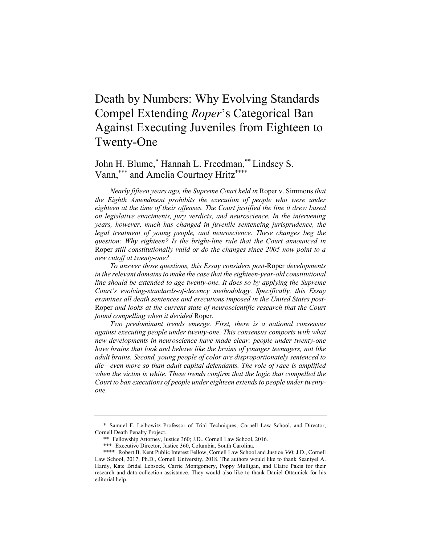# Death by Numbers: Why Evolving Standards Compel Extending *Roper*'s Categorical Ban Against Executing Juveniles from Eighteen to Twenty-One

John H. Blume,\* Hannah L. Freedman, \*\* Lindsey S. Vann, \*\*\* and Amelia Courtney Hritz\*\*\*\*

*Nearly fifteen years ago, the Supreme Court held in* Roper v. Simmons *that*  the Eighth Amendment prohibits the execution of people who were under *eighteen at the time of their offenses. The Court justified the line it drew based on legislative enactments, jury verdicts, and neuroscience. In the intervening years, however, much has changed in juvenile sentencing jurisprudence, the legal treatment of young people, and neuroscience. These changes beg the question: Why eighteen? Is the bright-line rule that the Court announced in*  Roper *still constitutionally valid or do the changes since 2005 now point to a new cutoff at twenty-one?*

*To answer those questions, this Essay considers post-*Roper *developments in the relevant domains to make the case that the eighteen-year-old constitutional line should be extended to age twenty-one. It does so by applying the Supreme Court's evolving-standards-of-decency methodology. Specifically, this Essay examines all death sentences and executions imposed in the United States post-*Roper *and looks at the current state of neuroscientific research that the Court found compelling when it decided* Roper*.*

*Two predominant trends emerge. First, there is a national consensus against executing people under twenty-one. This consensus comports with what new developments in neuroscience have made clear: people under twenty-one have brains that look and behave like the brains of younger teenagers, not like adult brains. Second, young people of color are disproportionately sentenced to die—even more so than adult capital defendants. The role of race is amplified when the victim is white. These trends confirm that the logic that compelled the Court to ban executions of people under eighteen extends to people under twentyone.*

<sup>\*</sup> Samuel F. Leibowitz Professor of Trial Techniques, Cornell Law School, and Director, Cornell Death Penalty Project.

<sup>\*\*</sup> Fellowship Attorney, Justice 360; J.D., Cornell Law School, 2016.

<sup>\*\*\*</sup> Executive Director, Justice 360, Columbia, South Carolina.

<sup>\*\*\*\*</sup> Robert B. Kent Public Interest Fellow, Cornell Law School and Justice 360; J.D., Cornell Law School, 2017, Ph.D., Cornell University, 2018. The authors would like to thank Seantyel A. Hardy, Kate Bridal Lebsock, Carrie Montgomery, Poppy Mulligan, and Claire Pakis for their research and data collection assistance. They would also like to thank Daniel Ottaunick for his editorial help.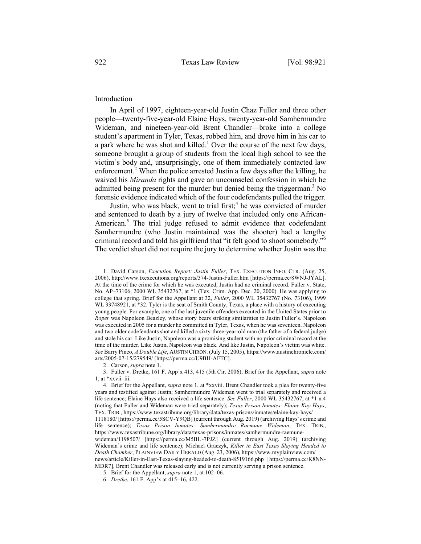## Introduction

In April of 1997, eighteen-year-old Justin Chaz Fuller and three other people—twenty-five-year-old Elaine Hays, twenty-year-old Samhermundre Wideman, and nineteen-year-old Brent Chandler—broke into a college student's apartment in Tyler, Texas, robbed him, and drove him in his car to a park where he was shot and killed.<sup>1</sup> Over the course of the next few days, someone brought a group of students from the local high school to see the victim's body and, unsurprisingly, one of them immediately contacted law enforcement.<sup>2</sup> When the police arrested Justin a few days after the killing, he waived his *Miranda* rights and gave an uncounseled confession in which he admitted being present for the murder but denied being the triggerman.<sup>3</sup> No forensic evidence indicated which of the four codefendants pulled the trigger.

Justin, who was black, went to trial first;  $4$  he was convicted of murder and sentenced to death by a jury of twelve that included only one African-American.<sup>5</sup> The trial judge refused to admit evidence that codefendant Samhermundre (who Justin maintained was the shooter) had a lengthy criminal record and told his girlfriend that "it felt good to shoot somebody."6 The verdict sheet did not require the jury to determine whether Justin was the

<sup>1.</sup> David Carson, *Execution Report: Justin Fuller*, TEX. EXECUTION INFO. CTR. (Aug. 25, 2006), http://www.txexecutions.org/reports/374-Justin-Fuller.htm [https://perma.cc/8WNJ-JYAL]. At the time of the crime for which he was executed, Justin had no criminal record. Fuller v. State, No. AP–73106, 2000 WL 35432767, at \*1 (Tex. Crim. App. Dec. 20, 2000). He was applying to college that spring. Brief for the Appellant at 32, *Fuller*, 2000 WL 35432767 (No. 73106), 1999 WL 33748921, at \*32. Tyler is the seat of Smith County, Texas, a place with a history of executing young people. For example, one of the last juvenile offenders executed in the United States prior to *Roper* was Napoleon Beazley, whose story bears striking similarities to Justin Fuller's. Napoleon was executed in 2005 for a murder he committed in Tyler, Texas, when he was seventeen. Napoleon and two older codefendants shot and killed a sixty-three-year-old man (the father of a federal judge) and stole his car. Like Justin, Napoleon was a promising student with no prior criminal record at the time of the murder. Like Justin, Napoleon was black. And like Justin, Napoleon's victim was white. *See* Barry Pineo, *A Double Life*, AUSTIN CHRON. (July 15, 2005), https://www.austinchronicle.com/ arts/2005-07-15/279549/ [https://perma.cc/U9BH-AFTC].

<sup>2.</sup> Carson, *supra* note 1.

<sup>3.</sup> Fuller v. Dretke, 161 F. App'x 413, 415 (5th Cir. 2006); Brief for the Appellant, *supra* note 1, at \*xxvii–iii.

<sup>4.</sup> Brief for the Appellant, *supra* note 1, at \*xxviii. Brent Chandler took a plea for twenty-five years and testified against Justin; Samhermundre Wideman went to trial separately and received a life sentence; Elaine Hays also received a life sentence. *See Fuller*, 2000 WL 35432767, at \*1 n.4 (noting that Fuller and Wideman were tried separately); *Texas Prison Inmates: Elaine Kay Hays*, TEX. TRIB., https://www.texastribune.org/library/data/texas-prisons/inmates/elaine-kay-hays/ 1118180/ [https://perma.cc/5SCV-Y9QB] (current through Aug. 2019) (archiving Hays's crime and life sentence); *Texas Prison Inmates: Samhermundre Raemune Wideman*, TEX. TRIB., https://www.texastribune.org/library/data/texas-prisons/inmates/samhermundre-raemunewideman/1198507/ [https://perma.cc/M5BU-7PJZ] (current through Aug. 2019) (archiving Wideman's crime and life sentence); Michael Graczyk, *Killer in East Texas Slaying Headed to Death Chamber*, PLAINVIEW DAILY HERALD (Aug. 23, 2006), https://www.myplainview.com/ news/article/Killer-in-East-Texas-slaying-headed-to-death-8519166.php [https://perma.cc/K8NN-MDR7]. Brent Chandler was released early and is not currently serving a prison sentence.

<sup>5.</sup> Brief for the Appellant, *supra* note 1, at 102–06.

<sup>6.</sup> *Dretke*, 161 F. App'x at 415–16, 422.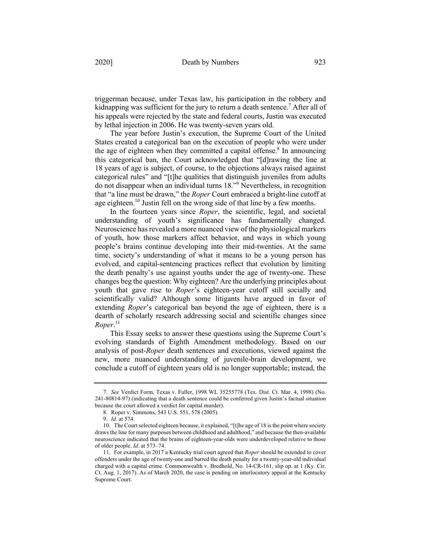triggerman because, under Texas law, his participation in the robbery and kidnapping was sufficient for the jury to return a death sentence.<sup>7</sup> After all of his appeals were rejected by the state and federal courts, Justin was executed by lethal injection in 2006. He was twenty-seven years old.

The year before Justin's execution, the Supreme Court of the United States created a categorical ban on the execution of people who were under the age of eighteen when they committed a capital offense.<sup>8</sup> In announcing this categorical ban, the Court acknowledged that "[d]rawing the line at 18 years of age is subject, of course, to the objections always raised against categorical rules" and "[t]he qualities that distinguish juveniles from adults do not disappear when an individual turns 18."9 Nevertheless, in recognition that "a line must be drawn," the *Roper* Court embraced a bright-line cutoff at age eighteen.<sup>10</sup> Justin fell on the wrong side of that line by a few months.

In the fourteen years since *Roper*, the scientific, legal, and societal understanding of youth's significance has fundamentally changed. Neuroscience has revealed a more nuanced view of the physiological markers of youth, how those markers affect behavior, and ways in which young people's brains continue developing into their mid-twenties. At the same time, society's understanding of what it means to be a young person has evolved, and capital-sentencing practices reflect that evolution by limiting the death penalty's use against youths under the age of twenty-one. These changes beg the question: Why eighteen? Are the underlying principles about youth that gave rise to *Roper*'s eighteen-year cutoff still socially and scientifically valid? Although some litigants have argued in favor of extending *Roper*'s categorical ban beyond the age of eighteen, there is a dearth of scholarly research addressing social and scientific changes since *Roper*. 11

This Essay seeks to answer these questions using the Supreme Court's evolving standards of Eighth Amendment methodology. Based on our analysis of post-*Roper* death sentences and executions, viewed against the new, more nuanced understanding of juvenile-brain development, we conclude a cutoff of eighteen years old is no longer supportable; instead, the

<sup>7.</sup> *See* Verdict Form, Texas v. Fuller, 1998 WL 35255778 (Tex. Dist. Ct. Mar. 4, 1998) (No. 241-80814-97) (indicating that a death sentence could be conferred given Justin's factual situation because the court allowed a verdict for capital murder).

<sup>8.</sup> Roper v. Simmons, 543 U.S. 551, 578 (2005).

<sup>9.</sup> *Id.* at 574.

<sup>10.</sup> The Court selected eighteen because, it explained, "[t]he age of 18 is the point where society draws the line for many purposes between childhood and adulthood," and because the then-available neuroscience indicated that the brains of eighteen-year-olds were underdeveloped relative to those of older people. *Id.* at 573–74.

<sup>11.</sup> For example, in 2017 a Kentucky trial court agreed that *Roper* should be extended to cover offenders under the age of twenty-one and barred the death penalty for a twenty-year-old individual charged with a capital crime. Commonwealth v. Bredhold, No. 14-CR-161, slip op. at 1 (Ky. Cir. Ct. Aug. 1, 2017). As of March 2020, the case is pending on interlocutory appeal at the Kentucky Supreme Court.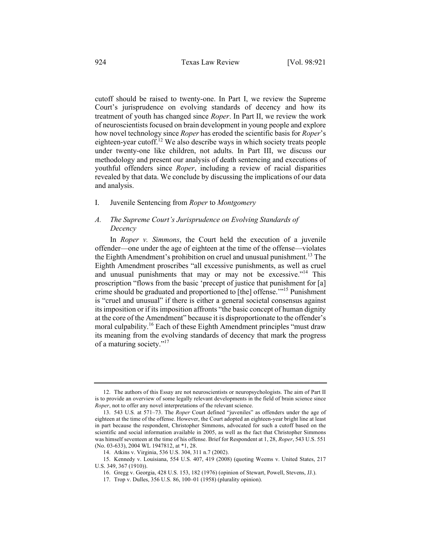cutoff should be raised to twenty-one. In Part I, we review the Supreme Court's jurisprudence on evolving standards of decency and how its treatment of youth has changed since *Roper*. In Part II, we review the work of neuroscientists focused on brain development in young people and explore how novel technology since *Roper* has eroded the scientific basis for *Roper*'s eighteen-year cutoff.<sup>12</sup> We also describe ways in which society treats people under twenty-one like children, not adults. In Part III, we discuss our methodology and present our analysis of death sentencing and executions of youthful offenders since *Roper*, including a review of racial disparities revealed by that data. We conclude by discussing the implications of our data and analysis.

#### I. Juvenile Sentencing from *Roper* to *Montgomery*

# *A. The Supreme Court's Jurisprudence on Evolving Standards of Decency*

In *Roper v. Simmons*, the Court held the execution of a juvenile offender—one under the age of eighteen at the time of the offense—violates the Eighth Amendment's prohibition on cruel and unusual punishment.<sup>13</sup> The Eighth Amendment proscribes "all excessive punishments, as well as cruel and unusual punishments that may or may not be excessive."<sup>14</sup> This proscription "flows from the basic 'precept of justice that punishment for [a] crime should be graduated and proportioned to [the] offense.'"<sup>15</sup> Punishment is "cruel and unusual" if there is either a general societal consensus against its imposition or if its imposition affronts "the basic concept of human dignity at the core of the Amendment" because it is disproportionate to the offender's moral culpability.<sup>16</sup> Each of these Eighth Amendment principles "must draw its meaning from the evolving standards of decency that mark the progress of a maturing society."<sup>17</sup>

<sup>12.</sup> The authors of this Essay are not neuroscientists or neuropsychologists. The aim of Part II is to provide an overview of some legally relevant developments in the field of brain science since *Roper*, not to offer any novel interpretations of the relevant science.

<sup>13.</sup> 543 U.S*.* at 571–73. The *Roper* Court defined "juveniles" as offenders under the age of eighteen at the time of the offense. However, the Court adopted an eighteen-year bright line at least in part because the respondent, Christopher Simmons, advocated for such a cutoff based on the scientific and social information available in 2005, as well as the fact that Christopher Simmons was himself seventeen at the time of his offense. Brief for Respondent at 1, 28, *Roper*, 543 U.S. 551 (No. 03-633), 2004 WL 1947812, at \*1, 28.

<sup>14.</sup> Atkins v. Virginia, 536 U.S. 304, 311 n.7 (2002).

<sup>15.</sup> Kennedy v. Louisiana, 554 U.S. 407, 419 (2008) (quoting Weems v. United States, 217 U.S. 349, 367 (1910)).

<sup>16.</sup> Gregg v. Georgia, 428 U.S. 153, 182 (1976) (opinion of Stewart, Powell, Stevens, JJ.).

<sup>17.</sup> Trop v. Dulles, 356 U.S. 86, 100–01 (1958) (plurality opinion).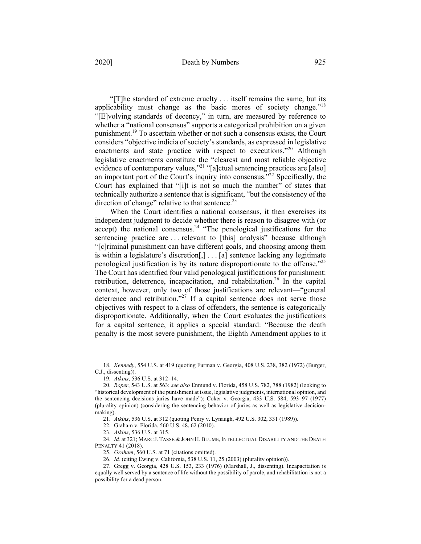"[T]he standard of extreme cruelty . . . itself remains the same, but its applicability must change as the basic mores of society change."<sup>18</sup> "[E]volving standards of decency," in turn, are measured by reference to whether a "national consensus" supports a categorical prohibition on a given punishment.19 To ascertain whether or not such a consensus exists, the Court considers "objective indicia of society's standards, as expressed in legislative enactments and state practice with respect to executions."<sup>20</sup> Although legislative enactments constitute the "clearest and most reliable objective evidence of contemporary values,"<sup>21</sup> "[a]ctual sentencing practices are [also] an important part of the Court's inquiry into consensus."<sup>22</sup> Specifically, the Court has explained that "[i]t is not so much the number" of states that technically authorize a sentence that is significant, "but the consistency of the direction of change" relative to that sentence.<sup>23</sup>

When the Court identifies a national consensus, it then exercises its independent judgment to decide whether there is reason to disagree with (or accept) the national consensus.<sup>24</sup> "The penological justifications for the sentencing practice are ... relevant to [this] analysis" because although "[c]riminal punishment can have different goals, and choosing among them is within a legislature's discretion[,] . . . [a] sentence lacking any legitimate penological justification is by its nature disproportionate to the offense."25 The Court has identified four valid penological justifications for punishment: retribution, deterrence, incapacitation, and rehabilitation.<sup>26</sup> In the capital context, however, only two of those justifications are relevant—"general deterrence and retribution."<sup>27</sup> If a capital sentence does not serve those objectives with respect to a class of offenders, the sentence is categorically disproportionate. Additionally, when the Court evaluates the justifications for a capital sentence, it applies a special standard: "Because the death penalty is the most severe punishment, the Eighth Amendment applies to it

21. *Atkins*, 536 U.S. at 312 (quoting Penry v. Lynaugh, 492 U.S. 302, 331 (1989)).

<sup>18.</sup> *Kennedy*, 554 U.S. at 419 (quoting Furman v. Georgia, 408 U.S. 238, 382 (1972) (Burger, C.J., dissenting)).

<sup>19.</sup> *Atkins*, 536 U.S. at 312–14.

<sup>20.</sup> *Roper*, 543 U.S. at 563; *see also* Enmund v. Florida, 458 U.S. 782, 788 (1982) (looking to "historical development of the punishment at issue, legislative judgments, international opinion, and the sentencing decisions juries have made"); Coker v. Georgia, 433 U.S. 584, 593–97 (1977) (plurality opinion) (considering the sentencing behavior of juries as well as legislative decisionmaking).

<sup>22.</sup> Graham v. Florida, 560 U.S. 48, 62 (2010).

<sup>23.</sup> *Atkins*, 536 U.S. at 315.

<sup>24.</sup> *Id.* at 321; MARC J. TASSÉ & JOHN H. BLUME, INTELLECTUAL DISABILITY AND THE DEATH PENALTY 41 (2018).

<sup>25.</sup> *Graham*, 560 U.S. at 71 (citations omitted).

<sup>26.</sup> *Id.* (citing Ewing v. California, 538 U.S. 11, 25 (2003) (plurality opinion)).

<sup>27.</sup> Gregg v. Georgia, 428 U.S. 153, 233 (1976) (Marshall, J., dissenting). Incapacitation is equally well served by a sentence of life without the possibility of parole, and rehabilitation is not a possibility for a dead person.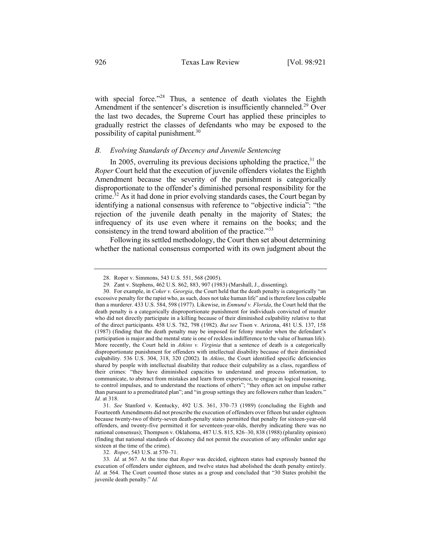with special force."<sup>28</sup> Thus, a sentence of death violates the Eighth Amendment if the sentencer's discretion is insufficiently channeled.<sup>29</sup> Over the last two decades, the Supreme Court has applied these principles to gradually restrict the classes of defendants who may be exposed to the possibility of capital punishment.30

# *B. Evolving Standards of Decency and Juvenile Sentencing*

In 2005, overruling its previous decisions upholding the practice,  $31$  the *Roper* Court held that the execution of juvenile offenders violates the Eighth Amendment because the severity of the punishment is categorically disproportionate to the offender's diminished personal responsibility for the crime.<sup>32</sup> As it had done in prior evolving standards cases, the Court began by identifying a national consensus with reference to "objective indicia": "the rejection of the juvenile death penalty in the majority of States; the infrequency of its use even where it remains on the books; and the consistency in the trend toward abolition of the practice."33

Following its settled methodology, the Court then set about determining whether the national consensus comported with its own judgment about the

31. *See* Stanford v. Kentucky, 492 U.S. 361, 370–73 (1989) (concluding the Eighth and Fourteenth Amendments did not proscribe the execution of offenders over fifteen but under eighteen because twenty-two of thirty-seven death-penalty states permitted that penalty for sixteen-year-old offenders, and twenty-five permitted it for seventeen-year-olds, thereby indicating there was no national consensus); Thompson v. Oklahoma, 487 U.S. 815, 826–30, 838 (1988) (plurality opinion) (finding that national standards of decency did not permit the execution of any offender under age sixteen at the time of the crime).

32. *Roper*, 543 U.S. at 570–71.

33. *Id.* at 567. At the time that *Roper* was decided, eighteen states had expressly banned the execution of offenders under eighteen, and twelve states had abolished the death penalty entirely. *Id.* at 564. The Court counted those states as a group and concluded that "30 States prohibit the juvenile death penalty." *Id.*

<sup>28.</sup> Roper v. Simmons, 543 U.S. 551, 568 (2005).

<sup>29.</sup> Zant v. Stephens, 462 U.S. 862, 883, 907 (1983) (Marshall, J., dissenting).

<sup>30.</sup> For example, in *Coker v. Georgia*, the Court held that the death penalty is categorically "an excessive penalty for the rapist who, as such, does not take human life" and is therefore less culpable than a murderer. 433 U.S. 584, 598 (1977). Likewise, in *Enmund v. Florida*, the Court held that the death penalty is a categorically disproportionate punishment for individuals convicted of murder who did not directly participate in a killing because of their diminished culpability relative to that of the direct participants. 458 U.S. 782, 798 (1982). *But see* Tison v. Arizona, 481 U.S. 137, 158 (1987) (finding that the death penalty may be imposed for felony murder when the defendant's participation is major and the mental state is one of reckless indifference to the value of human life). More recently, the Court held in *Atkins v. Virginia* that a sentence of death is a categorically disproportionate punishment for offenders with intellectual disability because of their diminished culpability. 536 U.S. 304, 318, 320 (2002). In *Atkins*, the Court identified specific deficiencies shared by people with intellectual disability that reduce their culpability as a class, regardless of their crimes: "they have diminished capacities to understand and process information, to communicate, to abstract from mistakes and learn from experience, to engage in logical reasoning, to control impulses, and to understand the reactions of others"; "they often act on impulse rather than pursuant to a premeditated plan"; and "in group settings they are followers rather than leaders." *Id.* at 318.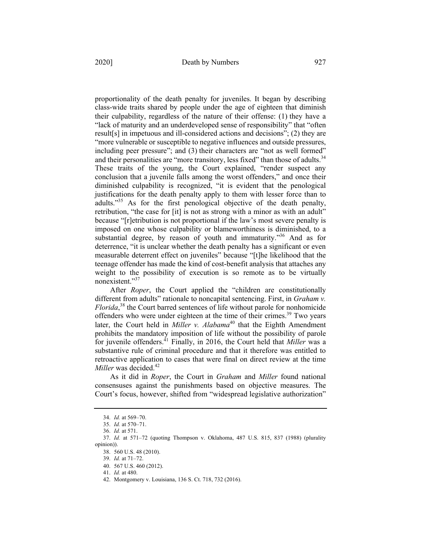proportionality of the death penalty for juveniles. It began by describing class-wide traits shared by people under the age of eighteen that diminish their culpability, regardless of the nature of their offense: (1) they have a "lack of maturity and an underdeveloped sense of responsibility" that "often result[s] in impetuous and ill-considered actions and decisions"; (2) they are "more vulnerable or susceptible to negative influences and outside pressures, including peer pressure"; and (3) their characters are "not as well formed" and their personalities are "more transitory, less fixed" than those of adults.<sup>34</sup> These traits of the young, the Court explained, "render suspect any conclusion that a juvenile falls among the worst offenders," and once their diminished culpability is recognized, "it is evident that the penological justifications for the death penalty apply to them with lesser force than to adults."35 As for the first penological objective of the death penalty, retribution, "the case for [it] is not as strong with a minor as with an adult" because "[r]etribution is not proportional if the law's most severe penalty is imposed on one whose culpability or blameworthiness is diminished, to a substantial degree, by reason of youth and immaturity."<sup>36</sup> And as for deterrence, "it is unclear whether the death penalty has a significant or even measurable deterrent effect on juveniles" because "[t]he likelihood that the teenage offender has made the kind of cost-benefit analysis that attaches any weight to the possibility of execution is so remote as to be virtually nonexistent."37

After *Roper*, the Court applied the "children are constitutionally different from adults" rationale to noncapital sentencing. First, in *Graham v. Florida*, <sup>38</sup> the Court barred sentences of life without parole for nonhomicide offenders who were under eighteen at the time of their crimes.<sup>39</sup> Two years later, the Court held in *Miller v. Alabama*<sup>40</sup> that the Eighth Amendment prohibits the mandatory imposition of life without the possibility of parole for juvenile offenders.41 Finally, in 2016, the Court held that *Miller* was a substantive rule of criminal procedure and that it therefore was entitled to retroactive application to cases that were final on direct review at the time *Miller* was decided.<sup>42</sup>

As it did in *Roper*, the Court in *Graham* and *Miller* found national consensuses against the punishments based on objective measures. The Court's focus, however, shifted from "widespread legislative authorization"

<sup>34.</sup> *Id.* at 569–70.

<sup>35.</sup> *Id.* at 570–71.

<sup>36.</sup> *Id.* at 571.

<sup>37.</sup> *Id.* at 571–72 (quoting Thompson v. Oklahoma, 487 U.S. 815, 837 (1988) (plurality opinion)).

<sup>38.</sup> 560 U.S. 48 (2010).

<sup>39.</sup> *Id.* at 71–72.

<sup>40.</sup> 567 U.S. 460 (2012).

<sup>41.</sup> *Id.* at 480.

<sup>42.</sup> Montgomery v. Louisiana, 136 S. Ct. 718, 732 (2016).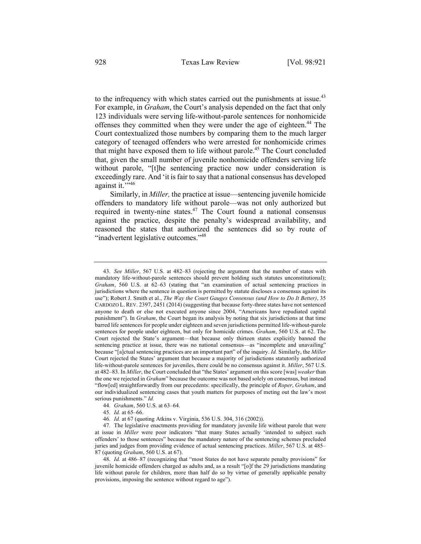to the infrequency with which states carried out the punishments at issue.<sup>43</sup> For example, in *Graham*, the Court's analysis depended on the fact that only 123 individuals were serving life-without-parole sentences for nonhomicide offenses they committed when they were under the age of eighteen.<sup>44</sup> The Court contextualized those numbers by comparing them to the much larger category of teenaged offenders who were arrested for nonhomicide crimes that might have exposed them to life without parole.<sup>45</sup> The Court concluded that, given the small number of juvenile nonhomicide offenders serving life without parole, "[t]he sentencing practice now under consideration is exceedingly rare. And 'it is fair to say that a national consensus has developed against it."<sup>146</sup>

Similarly, in *Miller,* the practice at issue—sentencing juvenile homicide offenders to mandatory life without parole—was not only authorized but required in twenty-nine states. $47$  The Court found a national consensus against the practice, despite the penalty's widespread availability, and reasoned the states that authorized the sentences did so by route of "inadvertent legislative outcomes."<sup>48</sup>

<sup>43.</sup> *See Miller*, 567 U.S. at 482–83 (rejecting the argument that the number of states with mandatory life-without-parole sentences should prevent holding such statutes unconstitutional); *Graham*, 560 U.S. at 62–63 (stating that "an examination of actual sentencing practices in jurisdictions where the sentence in question is permitted by statute discloses a consensus against its use"); Robert J. Smith et al., *The Way the Court Gauges Consensus (and How to Do It Better)*, 35 CARDOZO L. REV. 2397, 2451 (2014) (suggesting that because forty-three states have not sentenced anyone to death or else not executed anyone since 2004, "Americans have repudiated capital punishment"). In *Graham*, the Court began its analysis by noting that six jurisdictions at that time barred life sentences for people under eighteen and seven jurisdictions permitted life-without-parole sentences for people under eighteen, but only for homicide crimes. *Graham*, 560 U.S. at 62. The Court rejected the State's argument—that because only thirteen states explicitly banned the sentencing practice at issue, there was no national consensus—as "incomplete and unavailing" because "[a]ctual sentencing practices are an important part" of the inquiry. *Id.* Similarly, the *Miller* Court rejected the States' argument that because a majority of jurisdictions statutorily authorized life-without-parole sentences for juveniles, there could be no consensus against it. *Miller*, 567 U.S. at 482–83. In *Miller*, the Court concluded that "the States' argument on this score [was] *weaker* than the one we rejected in *Graham*" because the outcome was not based solely on consensus, but instead "flow[ed] straightforwardly from our precedents: specifically, the principle of *Roper*, *Graham*, and our individualized sentencing cases that youth matters for purposes of meting out the law's most serious punishments." *Id.*

<sup>44.</sup> *Graham*, 560 U.S. at 63–64.

<sup>45.</sup> *Id.* at 65–66.

<sup>46.</sup> *Id.* at 67 (quoting Atkins v. Virginia, 536 U.S. 304, 316 (2002)).

<sup>47.</sup> The legislative enactments providing for mandatory juvenile life without parole that were at issue in *Miller* were poor indicators "that many States actually 'intended to subject such offenders' to those sentences" because the mandatory nature of the sentencing schemes precluded juries and judges from providing evidence of actual sentencing practices. *Miller*, 567 U.S. at 485– 87 (quoting *Graham*, 560 U.S. at 67).

<sup>48.</sup> *Id.* at 486–87 (recognizing that "most States do not have separate penalty provisions" for juvenile homicide offenders charged as adults and, as a result "[o]f the 29 jurisdictions mandating life without parole for children, more than half do so by virtue of generally applicable penalty provisions, imposing the sentence without regard to age").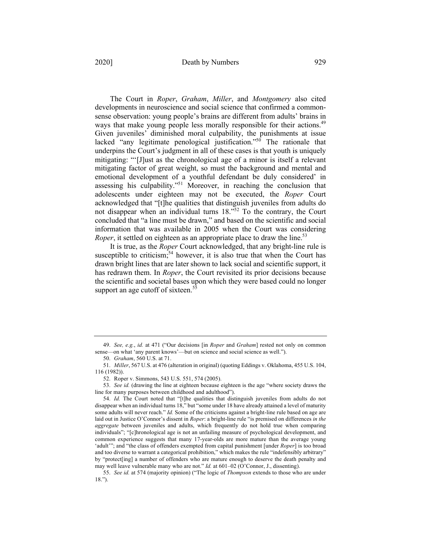The Court in *Roper*, *Graham*, *Miller*, and *Montgomery* also cited developments in neuroscience and social science that confirmed a commonsense observation: young people's brains are different from adults' brains in ways that make young people less morally responsible for their actions.<sup>49</sup> Given juveniles' diminished moral culpability, the punishments at issue lacked "any legitimate penological justification." $50$  The rationale that underpins the Court's judgment in all of these cases is that youth is uniquely mitigating: "'[J]ust as the chronological age of a minor is itself a relevant mitigating factor of great weight, so must the background and mental and emotional development of a youthful defendant be duly considered' in assessing his culpability."<sup>51</sup> Moreover, in reaching the conclusion that adolescents under eighteen may not be executed, the *Roper* Court acknowledged that "[t]he qualities that distinguish juveniles from adults do not disappear when an individual turns  $18.^{52}$  To the contrary, the Court concluded that "a line must be drawn," and based on the scientific and social information that was available in 2005 when the Court was considering *Roper*, it settled on eighteen as an appropriate place to draw the line.<sup>53</sup>

It is true, as the *Roper* Court acknowledged, that any bright-line rule is susceptible to criticism;<sup>54</sup> however, it is also true that when the Court has drawn bright lines that are later shown to lack social and scientific support, it has redrawn them. In *Roper*, the Court revisited its prior decisions because the scientific and societal bases upon which they were based could no longer support an age cutoff of sixteen.<sup>55</sup>

52. Roper v. Simmons, 543 U.S. 551, 574 (2005).

<sup>49.</sup> *See, e.g.*, *id.* at 471 ("Our decisions [in *Roper* and *Graham*] rested not only on common sense—on what 'any parent knows'—but on science and social science as well.").

<sup>50.</sup> *Graham*, 560 U.S. at 71.

<sup>51.</sup> *Miller*, 567 U.S. at 476 (alteration in original) (quoting Eddings v. Oklahoma, 455 U.S. 104, 116 (1982)).

<sup>53.</sup> *See id.* (drawing the line at eighteen because eighteen is the age "where society draws the line for many purposes between childhood and adulthood").

<sup>54.</sup> *Id.* The Court noted that "[t]he qualities that distinguish juveniles from adults do not disappear when an individual turns 18," but "some under 18 have already attained a level of maturity some adults will never reach." *Id.* Some of the criticisms against a bright-line rule based on age are laid out in Justice O'Connor's dissent in *Roper*: a bright-line rule "is premised on differences *in the aggregate* between juveniles and adults, which frequently do not hold true when comparing individuals"; "[c]hronological age is not an unfailing measure of psychological development, and common experience suggests that many 17-year-olds are more mature than the average young 'adult'"; and "the class of offenders exempted from capital punishment [under *Roper*] is too broad and too diverse to warrant a categorical prohibition," which makes the rule "indefensibly arbitrary" by "protect[ing] a number of offenders who are mature enough to deserve the death penalty and may well leave vulnerable many who are not." *Id.* at 601–02 (O'Connor, J., dissenting).

<sup>55.</sup> *See id.* at 574 (majority opinion) ("The logic of *Thompson* extends to those who are under 18.").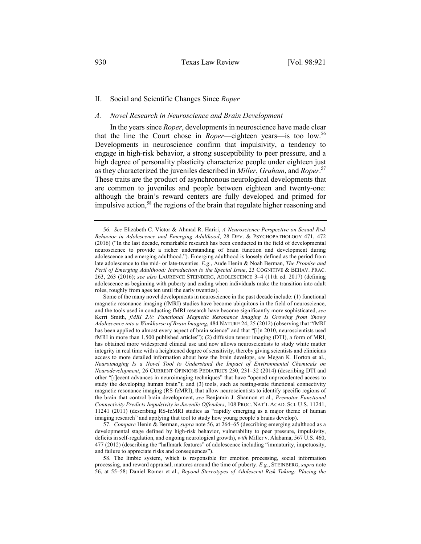## II. Social and Scientific Changes Since *Roper*

#### *A. Novel Research in Neuroscience and Brain Development*

In the years since *Roper*, developments in neuroscience have made clear that the line the Court chose in *Roper*—eighteen years—is too low.<sup>56</sup> Developments in neuroscience confirm that impulsivity, a tendency to engage in high-risk behavior, a strong susceptibility to peer pressure, and a high degree of personality plasticity characterize people under eighteen just as they characterized the juveniles described in *Miller*, *Graham*, and *Roper*. 57 These traits are the product of asynchronous neurological developments that are common to juveniles and people between eighteen and twenty-one: although the brain's reward centers are fully developed and primed for impulsive action,<sup>58</sup> the regions of the brain that regulate higher reasoning and

57. *Compare* Henin & Berman, *supra* note 56, at 264–65 (describing emerging adulthood as a developmental stage defined by high-risk behavior, vulnerability to peer pressure, impulsivity, deficits in self-regulation, and ongoing neurological growth), *with* Miller v. Alabama, 567 U.S. 460, 477 (2012) (describing the "hallmark features" of adolescence including "immaturity, impetuosity, and failure to appreciate risks and consequences").

58. The limbic system, which is responsible for emotion processing, social information processing, and reward appraisal, matures around the time of puberty. *E.g.*, STEINBERG, *supra* note 56, at 55–58; Daniel Romer et al., *Beyond Stereotypes of Adolescent Risk Taking: Placing the* 

<sup>56.</sup> *See* Elizabeth C. Victor & Ahmad R. Hariri, *A Neuroscience Perspective on Sexual Risk Behavior in Adolescence and Emerging Adulthood*, 28 DEV. & PSYCHOPATHOLOGY 471, 472 (2016) ("In the last decade, remarkable research has been conducted in the field of developmental neuroscience to provide a richer understanding of brain function and development during adolescence and emerging adulthood."). Emerging adulthood is loosely defined as the period from late adolescence to the mid- or late-twenties. *E.g.*, Aude Henin & Noah Berman, *The Promise and Peril of Emerging Adulthood: Introduction to the Special Issue*, 23 COGNITIVE & BEHAV. PRAC. 263, 263 (2016); *see also* LAURENCE STEINBERG, ADOLESCENCE 3–4 (11th ed. 2017) (defining adolescence as beginning with puberty and ending when individuals make the transition into adult roles, roughly from ages ten until the early twenties).

Some of the many novel developments in neuroscience in the past decade include: (1) functional magnetic resonance imaging (fMRI) studies have become ubiquitous in the field of neuroscience, and the tools used in conducting fMRI research have become significantly more sophisticated, *see*  Kerri Smith, *fMRI 2.0: Functional Magnetic Resonance Imaging Is Growing from Showy Adolescence into a Workhorse of Brain Imaging*, 484 NATURE 24, 25 (2012) (observing that "fMRI has been applied to almost every aspect of brain science" and that "[i]n 2010, neuroscientists used fMRI in more than 1,500 published articles"); (2) diffusion tensor imaging (DTI), a form of MRI, has obtained more widespread clinical use and now allows neuroscientists to study white matter integrity in real time with a heightened degree of sensitivity, thereby giving scientists and clinicians access to more detailed information about how the brain develops, *see* Megan K. Horton et al., *Neuroimaging Is a Novel Tool to Understand the Impact of Environmental Chemicals on Neurodevelopment*, 26 CURRENT OPINIONS PEDIATRICS 230, 231–32 (2014) (describing DTI and other "[r]ecent advances in neuroimaging techniques" that have "opened unprecedented access to study the developing human brain"); and (3) tools, such as resting-state functional connectivity magnetic resonance imaging (RS-fcMRI), that allow neuroscientists to identify specific regions of the brain that control brain development, *see* Benjamin J. Shannon et al., *Premotor Functional Connectivity Predicts Impulsivity in Juvenile Offenders*, 108 PROC. NAT'L ACAD. SCI. U.S. 11241, 11241 (2011) (describing RS-fcMRI studies as "rapidly emerging as a major theme of human imaging research" and applying that tool to study how young people's brains develop).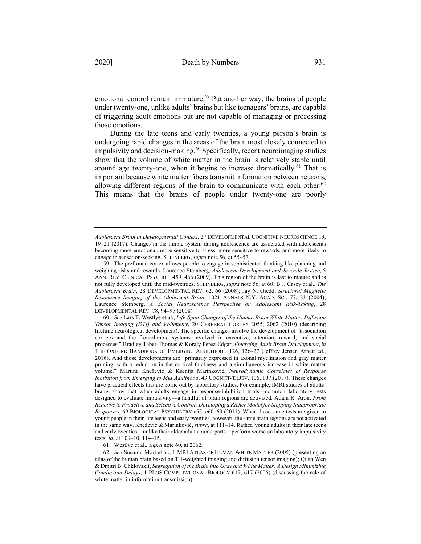emotional control remain immature.<sup>59</sup> Put another way, the brains of people under twenty-one, unlike adults' brains but like teenagers' brains, are capable of triggering adult emotions but are not capable of managing or processing those emotions.

During the late teens and early twenties, a young person's brain is undergoing rapid changes in the areas of the brain most closely connected to impulsivity and decision-making.<sup>60</sup> Specifically, recent neuroimaging studies show that the volume of white matter in the brain is relatively stable until around age twenty-one, when it begins to increase dramatically.<sup>61</sup> That is important because white matter fibers transmit information between neurons, allowing different regions of the brain to communicate with each other.<sup>62</sup> This means that the brains of people under twenty-one are poorly

61. Westlye et al., *supra* note 60, at 2062.

62. *See* Susumu Mori et al., 1 MRI ATLAS OF HUMAN WHITE MATTER (2005) (presenting an atlas of the human brain based on T 1-weighted imaging and diffusion tensor imaging); Quan Wen & Dmitri B. Chklovskii, *Segregation of the Brain into Gray and White Matter: A Design Minimizing Conduction Delays*, 1 PLOS COMPUTATIONAL BIOLOGY 617, 617 (2005) (discussing the role of white matter in information transmission).

*Adolescent Brain in Developmental Context*, 27 DEVELOPMENTAL COGNITIVE NEUROSCIENCE 19, 19–21 (2017). Changes in the limbic system during adolescence are associated with adolescents becoming more emotional, more sensitive to stress, more sensitive to rewards, and more likely to engage in sensation-seeking. STEINBERG, *supra* note 56, at 55–57.

<sup>59.</sup> The prefrontal cortex allows people to engage in sophisticated thinking like planning and weighing risks and rewards. Laurence Steinberg, *Adolescent Development and Juvenile Justice*, 5 ANN. REV. CLINICAL PSYCHOL. 459, 466 (2009). This region of the brain is last to mature and is not fully developed until the mid-twenties. STEINBERG, *supra* note 56, at 60; B.J. Casey et al., *The Adolescent Brain*, 28 DEVELOPMENTAL REV. 62, 66 (2008); Jay N. Giedd, *Structural Magnetic Resonance Imaging of the Adolescent Brain*, 1021 ANNALS N.Y. ACAD. SCI. 77, 83 (2004); Laurence Steinberg, *A Social Neuroscience Perspective on Adolescent Risk-Taking*, 28 DEVELOPMENTAL REV. 78, 94–95 (2008).

<sup>60.</sup> *See* Lars T. Westlye et al., *Life-Span Changes of the Human Brain White Matter: Diffusion Tensor Imaging (DTI) and Volumetry*, 20 CEREBRAL CORTEX 2055, 2062 (2010) (describing lifetime neurological development). The specific changes involve the development of "association cortices and the frontolimbic systems involved in executive, attention, reward, and social processes." Bradley Taber-Thomas & Koraly Perez-Edgar, *Emerging Adult Brain Development*, *in* THE OXFORD HANDBOOK OF EMERGING ADULTHOOD 126, 126–27 (Jeffrey Jensen Arnett ed., 2016). And those developments are "primarily expressed in axonal myelination and gray matter pruning, with a reduction in the cortical thickness and a simultaneous increase in white matter volume." Martina Knežević & Ksenija Marinković, *Neurodynamic Correlates of Response Inhibition from Emerging to Mid Adulthood*, 43 COGNITIVE DEV. 106, 107 (2017). These changes have practical effects that are borne out by laboratory studies. For example, fMRI studies of adults' brains show that when adults engage in response-inhibition trials—common laboratory tests designed to evaluate impulsivity—a handful of brain regions are activated. Adam R. Aron, *From Reactive to Proactive and Selective Control: Developing a Richer Model for Stopping Inappropriate Responses*, 69 BIOLOGICAL PSYCHIATRY e55, e60–63 (2011). When those same tests are given to young people in their late teens and early twenties, however, the same brain regions are not activated in the same way. Knežević & Marinković, *supra*, at 111–14. Rather, young adults in their late teens and early twenties—unlike their older adult counterparts—perform worse on laboratory impulsivity tests. *Id.* at 109–10, 114–15.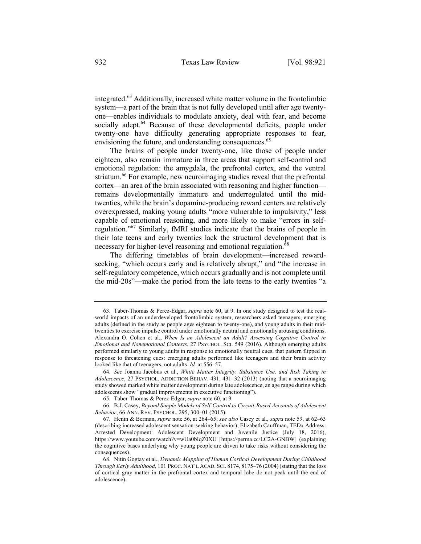integrated.<sup>63</sup> Additionally, increased white matter volume in the frontolimbic system—a part of the brain that is not fully developed until after age twentyone—enables individuals to modulate anxiety, deal with fear, and become socially adept.<sup>64</sup> Because of these developmental deficits, people under twenty-one have difficulty generating appropriate responses to fear, envisioning the future, and understanding consequences.<sup>65</sup>

The brains of people under twenty-one, like those of people under eighteen, also remain immature in three areas that support self-control and emotional regulation: the amygdala, the prefrontal cortex, and the ventral striatum.<sup>66</sup> For example, new neuroimaging studies reveal that the prefrontal cortex—an area of the brain associated with reasoning and higher function remains developmentally immature and underregulated until the midtwenties, while the brain's dopamine-producing reward centers are relatively overexpressed, making young adults "more vulnerable to impulsivity," less capable of emotional reasoning, and more likely to make "errors in selfregulation."<sup>67</sup> Similarly, fMRI studies indicate that the brains of people in their late teens and early twenties lack the structural development that is necessary for higher-level reasoning and emotional regulation.<sup>68</sup>

The differing timetables of brain development—increased rewardseeking, "which occurs early and is relatively abrupt," and "the increase in self-regulatory competence, which occurs gradually and is not complete until the mid-20s"—make the period from the late teens to the early twenties "a

<sup>63.</sup> Taber-Thomas & Perez-Edgar, *supra* note 60, at 9. In one study designed to test the realworld impacts of an underdeveloped frontolimbic system, researchers asked teenagers, emerging adults (defined in the study as people ages eighteen to twenty-one), and young adults in their midtwenties to exercise impulse control under emotionally neutral and emotionally arousing conditions. Alexandra O. Cohen et al., *When Is an Adolescent an Adult? Assessing Cognitive Control in Emotional and Nonemotional Contexts*, 27 PSYCHOL. SCI. 549 (2016). Although emerging adults performed similarly to young adults in response to emotionally neutral cues, that pattern flipped in response to threatening cues: emerging adults performed like teenagers and their brain activity looked like that of teenagers, not adults. *Id.* at 556–57.

<sup>64.</sup> *See* Joanna Jacobus et al., *White Matter Integrity, Substance Use, and Risk Taking in Adolescence*, 27 PSYCHOL. ADDICTION BEHAV. 431, 431–32 (2013) (noting that a neuroimaging study showed marked white matter development during late adolescence, an age range during which adolescents show "gradual improvements in executive functioning").

<sup>65.</sup> Taber-Thomas & Perez-Edgar, *supra* note 60, at 9.

<sup>66.</sup> B.J. Casey, *Beyond Simple Models of Self-Control to Circuit-Based Accounts of Adolescent Behavior*, 66 ANN. REV. PSYCHOL. 295, 300–01 (2015).

<sup>67.</sup> Henin & Berman, *supra* note 56, at 264–65; *see also* Casey et al., *supra* note 59, at 62–63 (describing increased adolescent sensation-seeking behavior); Elizabeth Cauffman, TEDx Address: Arrested Development: Adolescent Development and Juvenile Justice (July 18, 2016), https://www.youtube.com/watch?v=wUa0bIqZ0XU [https://perma.cc/LC2A-GNBW] (explaining the cognitive bases underlying why young people are driven to take risks without considering the consequences).

<sup>68.</sup> Nitin Gogtay et al., *Dynamic Mapping of Human Cortical Development During Childhood Through Early Adulthood*, 101 PROC. NAT'L ACAD. SCI. 8174, 8175–76 (2004) (stating that the loss of cortical gray matter in the prefrontal cortex and temporal lobe do not peak until the end of adolescence).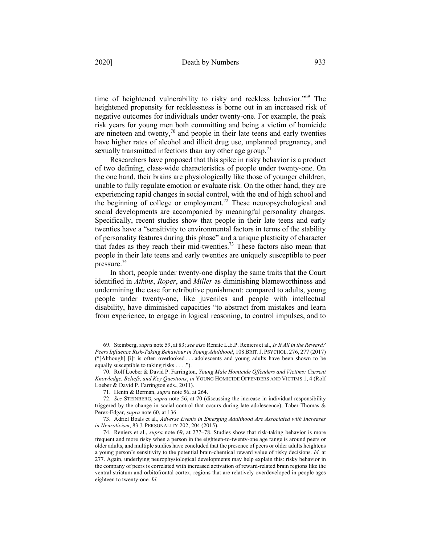time of heightened vulnerability to risky and reckless behavior."69 The heightened propensity for recklessness is borne out in an increased risk of negative outcomes for individuals under twenty-one. For example, the peak risk years for young men both committing and being a victim of homicide are nineteen and twenty, $\frac{70}{9}$  and people in their late teens and early twenties have higher rates of alcohol and illicit drug use, unplanned pregnancy, and sexually transmitted infections than any other age group.<sup>71</sup>

Researchers have proposed that this spike in risky behavior is a product of two defining, class-wide characteristics of people under twenty-one. On the one hand, their brains are physiologically like those of younger children, unable to fully regulate emotion or evaluate risk. On the other hand, they are experiencing rapid changes in social control, with the end of high school and the beginning of college or employment.<sup>72</sup> These neuropsychological and social developments are accompanied by meaningful personality changes. Specifically, recent studies show that people in their late teens and early twenties have a "sensitivity to environmental factors in terms of the stability of personality features during this phase" and a unique plasticity of character that fades as they reach their mid-twenties.<sup>73</sup> These factors also mean that people in their late teens and early twenties are uniquely susceptible to peer pressure.74

In short, people under twenty-one display the same traits that the Court identified in *Atkins*, *Roper*, and *Miller* as diminishing blameworthiness and undermining the case for retributive punishment: compared to adults, young people under twenty-one, like juveniles and people with intellectual disability, have diminished capacities "to abstract from mistakes and learn from experience, to engage in logical reasoning, to control impulses, and to

<sup>69.</sup> Steinberg, *supra* note 59, at 83; *see also* Renate L.E.P. Reniers et al., *Is It All in the Reward? Peers Influence Risk-Taking Behaviour in Young Adulthood*, 108 BRIT.J. PSYCHOL. 276, 277 (2017) ("[Although] [i]t is often overlooked . . . adolescents and young adults have been shown to be equally susceptible to taking risks . . . .").

<sup>70.</sup> Rolf Loeber & David P. Farrington, *Young Male Homicide Offenders and Victims: Current Knowledge, Beliefs, and Key Questions*¸ *in* YOUNG HOMICIDE OFFENDERS AND VICTIMS 1, 4 (Rolf Loeber & David P. Farrington eds., 2011).

<sup>71.</sup> Henin & Berman, *supra* note 56, at 264.

<sup>72.</sup> *See* STEINBERG, *supra* note 56, at 70 (discussing the increase in individual responsibility triggered by the change in social control that occurs during late adolescence); Taber-Thomas & Perez-Edgar, *supra* note 60, at 136.

<sup>73.</sup> Adriel Boals et al., *Adverse Events in Emerging Adulthood Are Associated with Increases in Neuroticism*, 83 J. PERSONALITY 202, 204 (2015).

<sup>74.</sup> Reniers et al., *supra* note 69, at 277–78. Studies show that risk-taking behavior is more frequent and more risky when a person in the eighteen-to-twenty-one age range is around peers or older adults, and multiple studies have concluded that the presence of peers or older adults heightens a young person's sensitivity to the potential brain-chemical reward value of risky decisions. *Id.* at 277. Again, underlying neurophysiological developments may help explain this: risky behavior in the company of peers is correlated with increased activation of reward-related brain regions like the ventral striatum and orbitofrontal cortex, regions that are relatively overdeveloped in people ages eighteen to twenty-one. *Id.*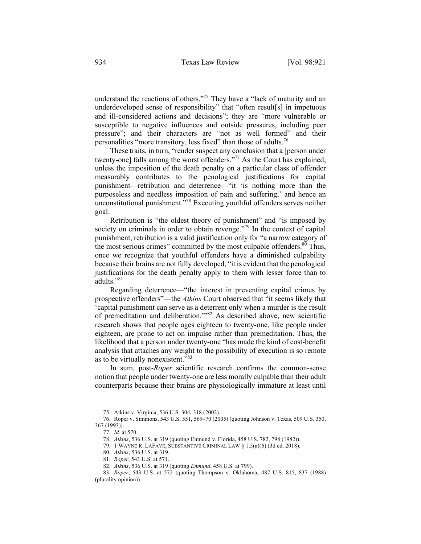understand the reactions of others."<sup>75</sup> They have a "lack of maturity and an underdeveloped sense of responsibility" that "often result[s] in impetuous and ill-considered actions and decisions"; they are "more vulnerable or susceptible to negative influences and outside pressures, including peer pressure"; and their characters are "not as well formed" and their personalities "more transitory, less fixed" than those of adults.<sup>76</sup>

These traits, in turn, "render suspect any conclusion that a [person under twenty-one] falls among the worst offenders."<sup>77</sup> As the Court has explained, unless the imposition of the death penalty on a particular class of offender measurably contributes to the penological justifications for capital punishment—retribution and deterrence—"it 'is nothing more than the purposeless and needless imposition of pain and suffering,' and hence an unconstitutional punishment."<sup>78</sup> Executing youthful offenders serves neither goal.

Retribution is "the oldest theory of punishment" and "is imposed by society on criminals in order to obtain revenge."<sup>79</sup> In the context of capital punishment, retribution is a valid justification only for "a narrow category of the most serious crimes" committed by the most culpable offenders.<sup>80</sup> Thus, once we recognize that youthful offenders have a diminished culpability because their brains are not fully developed, "it is evident that the penological justifications for the death penalty apply to them with lesser force than to adults."<sup>81</sup>

Regarding deterrence—"the interest in preventing capital crimes by prospective offenders"—the *Atkins* Court observed that "it seems likely that 'capital punishment can serve as a deterrent only when a murder is the result of premeditation and deliberation.'"82 As described above, new scientific research shows that people ages eighteen to twenty-one, like people under eighteen, are prone to act on impulse rather than premeditation. Thus, the likelihood that a person under twenty-one "has made the kind of cost-benefit analysis that attaches any weight to the possibility of execution is so remote as to be virtually nonexistent."83

In sum, post-*Roper* scientific research confirms the common-sense notion that people under twenty-one are less morally culpable than their adult counterparts because their brains are physiologically immature at least until

<sup>75.</sup> Atkins v. Virginia, 536 U.S. 304, 318 (2002).

<sup>76.</sup> Roper v. Simmons, 543 U.S. 551, 569–70 (2005) (quoting Johnson v. Texas, 509 U.S. 350, 367 (1993)).

<sup>77.</sup> *Id.* at 570.

<sup>78.</sup> *Atkins*, 536 U.S. at 319 (quoting Enmund v. Florida, 458 U.S. 782, 798 (1982)).

<sup>79.</sup> 1 WAYNE R. LAFAVE, SUBSTANTIVE CRIMINAL LAW § 1.5(a)(6) (3d ed. 2018).

<sup>80.</sup> *Atkins*, 536 U.S. at 319.

<sup>81.</sup> *Roper*, 543 U.S. at 571.

<sup>82.</sup> *Atkins*, 536 U.S. at 319 (quoting *Enmund*, 458 U.S. at 799).

<sup>83.</sup> *Roper*, 543 U.S. at 572 (quoting Thompson v. Oklahoma, 487 U.S. 815, 837 (1988) (plurality opinion)).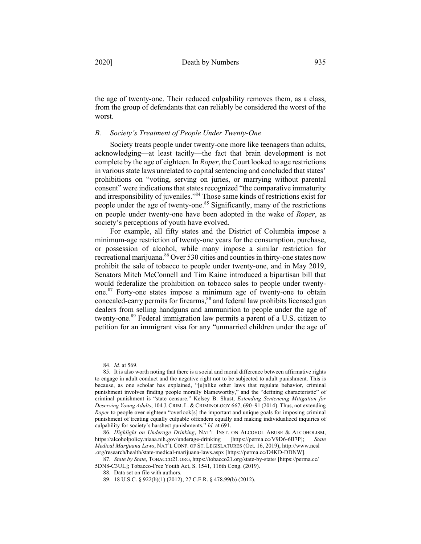the age of twenty-one. Their reduced culpability removes them, as a class, from the group of defendants that can reliably be considered the worst of the worst.

# *B. Society's Treatment of People Under Twenty-One*

Society treats people under twenty-one more like teenagers than adults, acknowledging—at least tacitly—the fact that brain development is not complete by the age of eighteen. In *Roper*, the Court looked to age restrictions in various state laws unrelated to capital sentencing and concluded that states' prohibitions on "voting, serving on juries, or marrying without parental consent" were indications that states recognized "the comparative immaturity and irresponsibility of juveniles."84 Those same kinds of restrictions exist for people under the age of twenty-one.<sup>85</sup> Significantly, many of the restrictions on people under twenty-one have been adopted in the wake of *Roper*, as society's perceptions of youth have evolved.

For example, all fifty states and the District of Columbia impose a minimum-age restriction of twenty-one years for the consumption, purchase, or possession of alcohol, while many impose a similar restriction for recreational marijuana.<sup>86</sup> Over 530 cities and counties in thirty-one states now prohibit the sale of tobacco to people under twenty-one, and in May 2019, Senators Mitch McConnell and Tim Kaine introduced a bipartisan bill that would federalize the prohibition on tobacco sales to people under twentyone. <sup>87</sup> Forty-one states impose a minimum age of twenty-one to obtain concealed-carry permits for firearms,<sup>88</sup> and federal law prohibits licensed gun dealers from selling handguns and ammunition to people under the age of twenty-one. <sup>89</sup> Federal immigration law permits a parent of a U.S. citizen to petition for an immigrant visa for any "unmarried children under the age of

<sup>84.</sup> *Id.* at 569.

<sup>85.</sup> It is also worth noting that there is a social and moral difference between affirmative rights to engage in adult conduct and the negative right not to be subjected to adult punishment. This is because, as one scholar has explained, "[u]nlike other laws that regulate behavior, criminal punishment involves finding people morally blameworthy," and the "defining characteristic" of criminal punishment is "state censure." Kelsey B. Shust, *Extending Sentencing Mitigation for Deserving Young Adults*, 104 J. CRIM. L. & CRIMINOLOGY 667, 690–91 (2014). Thus, not extending *Roper* to people over eighteen "overlook[s] the important and unique goals for imposing criminal punishment of treating equally culpable offenders equally and making individualized inquiries of culpability for society's harshest punishments." *Id.* at 691.

<sup>86.</sup> *Highlight on Underage Drinking*, NAT'L INST. ON ALCOHOL ABUSE & ALCOHOLISM, https://alcoholpolicy.niaaa.nih.gov/underage-drinking [https://perma.cc/V9D6-6B7P]; *State Medical Marijuana Laws*, NAT'L CONF. OF ST. LEGISLATURES (Oct. 16, 2019), http://www.ncsl .org/research/health/state-medical-marijuana-laws.aspx [https://perma.cc/D4KD-DDNW].

<sup>87.</sup> *State by State*, TOBACCO21.ORG, https://tobacco21.org/state-by-state/ [https://perma.cc/ 5DN8-C3UL]; Tobacco-Free Youth Act, S. 1541, 116th Cong. (2019).

<sup>88.</sup> Data set on file with authors.

<sup>89.</sup> 18 U.S.C. § 922(b)(1) (2012); 27 C.F.R. § 478.99(b) (2012).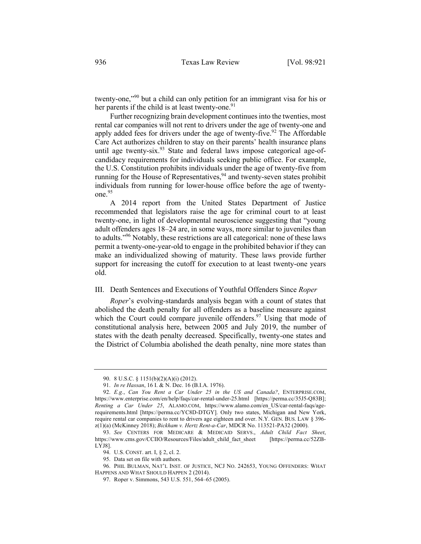twenty-one,"90 but a child can only petition for an immigrant visa for his or her parents if the child is at least twenty-one.<sup>91</sup>

Further recognizing brain development continues into the twenties, most rental car companies will not rent to drivers under the age of twenty-one and apply added fees for drivers under the age of twenty-five.<sup>92</sup> The Affordable Care Act authorizes children to stay on their parents' health insurance plans until age twenty-six. $93$  State and federal laws impose categorical age-ofcandidacy requirements for individuals seeking public office. For example, the U.S. Constitution prohibits individuals under the age of twenty-five from running for the House of Representatives,  $94$  and twenty-seven states prohibit individuals from running for lower-house office before the age of twentyone. 95

A 2014 report from the United States Department of Justice recommended that legislators raise the age for criminal court to at least twenty-one, in light of developmental neuroscience suggesting that "young adult offenders ages 18–24 are, in some ways, more similar to juveniles than to adults."96 Notably, these restrictions are all categorical: none of these laws permit a twenty-one-year-old to engage in the prohibited behavior if they can make an individualized showing of maturity. These laws provide further support for increasing the cutoff for execution to at least twenty-one years old.

#### III. Death Sentences and Executions of Youthful Offenders Since *Roper*

*Roper*'s evolving-standards analysis began with a count of states that abolished the death penalty for all offenders as a baseline measure against which the Court could compare juvenile offenders. $97$  Using that mode of constitutional analysis here, between 2005 and July 2019, the number of states with the death penalty decreased. Specifically, twenty-one states and the District of Columbia abolished the death penalty, nine more states than

<sup>90.</sup> 8 U.S.C. § 1151(b)(2)(A)(i) (2012).

<sup>91.</sup> *In re Hassan*, 16 I. & N. Dec. 16 (B.I.A. 1976).

<sup>92.</sup> *E.g.*, *Can You Rent a Car Under 25 in the US and Canada?*, ENTERPRISE.COM, https://www.enterprise.com/en/help/faqs/car-rental-under-25.html [https://perma.cc/35J5-Q83B]; *Renting a Car Under 25*, ALAMO.COM, https://www.alamo.com/en\_US/car-rental-faqs/agerequirements.html [https://perma.cc/YC8D-DTGY]. Only two states, Michigan and New York, require rental car companies to rent to drivers age eighteen and over. N.Y. GEN. BUS. LAW § 396 z(1)(a) (McKinney 2018); *Bickham v. Hertz Rent-a-Car*, MDCR No. 113521-PA32 (2000).

<sup>93.</sup> *See* CENTERS FOR MEDICARE & MEDICAID SERVS., *Adult Child Fact Sheet*, https://www.cms.gov/CCIIO/Resources/Files/adult\_child\_fact\_sheet [https://perma.cc/52ZB-LYJ8].

<sup>94.</sup> U.S. CONST. art. I, § 2, cl. 2.

<sup>95.</sup> Data set on file with authors.

<sup>96.</sup> PHIL BULMAN, NAT'L INST. OF JUSTICE, NCJ NO. 242653, YOUNG OFFENDERS: WHAT HAPPENS AND WHAT SHOULD HAPPEN 2 (2014).

<sup>97.</sup> Roper v. Simmons, 543 U.S. 551, 564–65 (2005).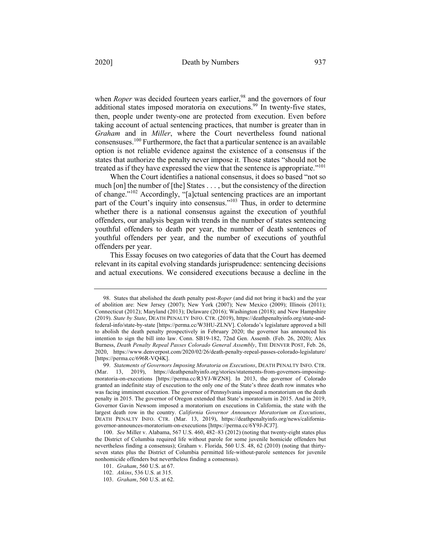when *Roper* was decided fourteen years earlier,<sup>98</sup> and the governors of four

additional states imposed moratoria on executions.<sup>99</sup> In twenty-five states, then, people under twenty-one are protected from execution. Even before taking account of actual sentencing practices, that number is greater than in *Graham* and in *Miller*, where the Court nevertheless found national consensuses.<sup>100</sup> Furthermore, the fact that a particular sentence is an available option is not reliable evidence against the existence of a consensus if the states that authorize the penalty never impose it. Those states "should not be treated as if they have expressed the view that the sentence is appropriate."101

When the Court identifies a national consensus, it does so based "not so much [on] the number of [the] States . . . , but the consistency of the direction of change."<sup>102</sup> Accordingly, "[a]ctual sentencing practices are an important part of the Court's inquiry into consensus."<sup>103</sup> Thus, in order to determine whether there is a national consensus against the execution of youthful offenders, our analysis began with trends in the number of states sentencing youthful offenders to death per year, the number of death sentences of youthful offenders per year, and the number of executions of youthful offenders per year.

This Essay focuses on two categories of data that the Court has deemed relevant in its capital evolving standards jurisprudence: sentencing decisions and actual executions. We considered executions because a decline in the

<sup>98.</sup> States that abolished the death penalty post-*Roper* (and did not bring it back) and the year of abolition are: New Jersey (2007); New York (2007); New Mexico (2009); Illinois (2011); Connecticut (2012); Maryland (2013); Delaware (2016); Washington (2018); and New Hampshire (2019). *State by State*, DEATH PENALTY INFO. CTR. (2019), https://deathpenaltyinfo.org/state-andfederal-info/state-by-state [https://perma.cc/W3HU-ZLNV]. Colorado's legislature approved a bill to abolish the death penalty prospectively in February 2020; the governor has announced his intention to sign the bill into law. Conn. SB19-182, 72nd Gen. Assemb. (Feb. 26, 2020); Alex Burness, *Death Penalty Repeal Passes Colorado General Assembly*, THE DENVER POST, Feb. 26, 2020, https://www.denverpost.com/2020/02/26/death-penalty-repeal-passes-colorado-legislature/ [https://perma.cc/696R-VQ4K].

<sup>99.</sup> *Statements of Governors Imposing Moratoria on Executions*, DEATH PENALTY INFO. CTR. (Mar. 13, 2019), https://deathpenaltyinfo.org/stories/statements-from-governors-imposingmoratoria-on-executions [https://perma.cc/R3YJ-WZN8]. In 2013, the governor of Colorado granted an indefinite stay of execution to the only one of the State's three death row inmates who was facing imminent execution. The governor of Pennsylvania imposed a moratorium on the death penalty in 2015. The governor of Oregon extended that State's moratorium in 2015. And in 2019, Governor Gavin Newsom imposed a moratorium on executions in California, the state with the largest death row in the country. *California Governor Announces Moratorium on Executions*, DEATH PENALTY INFO. CTR. (Mar. 13, 2019), https://deathpenaltyinfo.org/news/californiagovernor-announces-moratorium-on-executions [https://perma.cc/6Y9J-JCJ7].

<sup>100.</sup> *See* Miller v. Alabama, 567 U.S. 460, 482–83 (2012) (noting that twenty-eight states plus the District of Columbia required life without parole for some juvenile homicide offenders but nevertheless finding a consensus); Graham v. Florida, 560 U.S. 48, 62 (2010) (noting that thirtyseven states plus the District of Columbia permitted life-without-parole sentences for juvenile nonhomicide offenders but nevertheless finding a consensus).

<sup>101.</sup> *Graham*, 560 U.S. at 67.

<sup>102.</sup> *Atkins*, 536 U.S. at 315.

<sup>103.</sup> *Graham*, 560 U.S. at 62.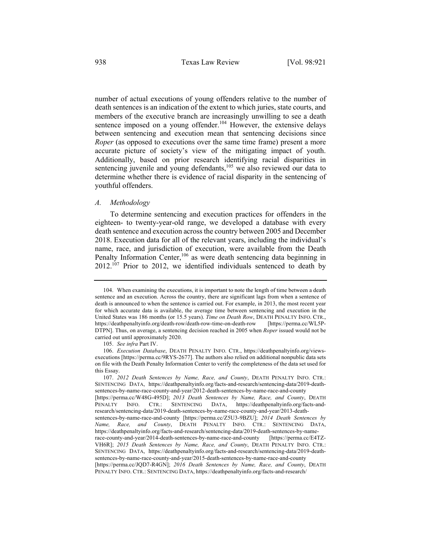number of actual executions of young offenders relative to the number of death sentences is an indication of the extent to which juries, state courts, and members of the executive branch are increasingly unwilling to see a death sentence imposed on a young offender.<sup>104</sup> However, the extensive delays between sentencing and execution mean that sentencing decisions since *Roper* (as opposed to executions over the same time frame) present a more accurate picture of society's view of the mitigating impact of youth. Additionally, based on prior research identifying racial disparities in sentencing juvenile and young defendants,<sup>105</sup> we also reviewed our data to determine whether there is evidence of racial disparity in the sentencing of youthful offenders.

#### *A. Methodology*

To determine sentencing and execution practices for offenders in the eighteen- to twenty-year-old range, we developed a database with every death sentence and execution across the country between 2005 and December 2018. Execution data for all of the relevant years, including the individual's name, race, and jurisdiction of execution, were available from the Death Penalty Information Center,<sup>106</sup> as were death sentencing data beginning in  $2012$ <sup>107</sup> Prior to 2012, we identified individuals sentenced to death by

<sup>104.</sup> When examining the executions, it is important to note the length of time between a death sentence and an execution. Across the country, there are significant lags from when a sentence of death is announced to when the sentence is carried out. For example, in 2013, the most recent year for which accurate data is available, the average time between sentencing and execution in the United States was 186 months (or 15.5 years). *Time on Death Row*, DEATH PENALTY INFO. CTR., https://deathpenaltyinfo.org/death-row/death-row-time-on-death-row [https://perma.cc/WL5P-DTPN]. Thus, on average, a sentencing decision reached in 2005 when *Roper* issued would not be carried out until approximately 2020.

<sup>105.</sup> *See infra* Part IV.

<sup>106.</sup> *Execution Database*, DEATH PENALTY INFO. CTR., https://deathpenaltyinfo.org/viewsexecutions [https://perma.cc/9RYS-2677]. The authors also relied on additional nonpublic data sets on file with the Death Penalty Information Center to verify the completeness of the data set used for this Essay.

<sup>107.</sup> *2012 Death Sentences by Name, Race, and County*, DEATH PENALTY INFO. CTR.: SENTENCING DATA, https://deathpenaltyinfo.org/facts-and-research/sentencing-data/2019-deathsentences-by-name-race-county-and-year/2012-death-sentences-by-name-race-and-county [https://perma.cc/W48G-495D]; *2013 Death Sentences by Name, Race, and County*, DEATH PENALTY INFO. CTR.: SENTENCING DATA, https://deathpenaltyinfo.org/facts-andresearch/sentencing-data/2019-death-sentences-by-name-race-county-and-year/2013-deathsentences-by-name-race-and-county [https://perma.cc/Z5U3-9BZU]; *2014 Death Sentences by Name, Race, and County*, DEATH PENALTY INFO. CTR.: SENTENCING DATA, https://deathpenaltyinfo.org/facts-and-research/sentencing-data/2019-death-sentences-by-namerace-county-and-year/2014-death-sentences-by-name-race-and-county [https://perma.cc/E4TZ-VH6R]; *2015 Death Sentences by Name, Race, and County*, DEATH PENALTY INFO. CTR.: SENTENCING DATA, https://deathpenaltyinfo.org/facts-and-research/sentencing-data/2019-deathsentences-by-name-race-county-and-year/2015-death-sentences-by-name-race-and-county [https://perma.cc/JQD7-R4GN]; *2016 Death Sentences by Name, Race, and County*, DEATH PENALTY INFO. CTR.: SENTENCING DATA, https://deathpenaltyinfo.org/facts-and-research/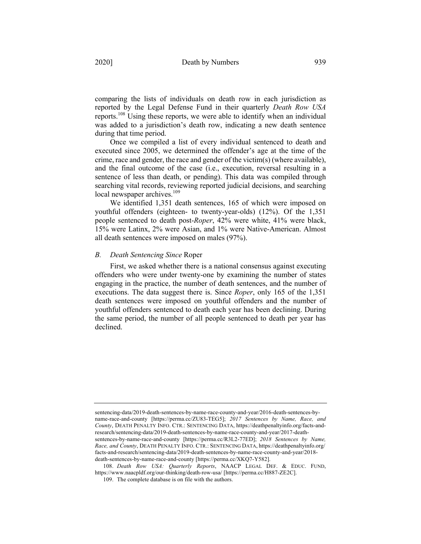comparing the lists of individuals on death row in each jurisdiction as reported by the Legal Defense Fund in their quarterly *Death Row USA*  reports.<sup>108</sup> Using these reports, we were able to identify when an individual was added to a jurisdiction's death row, indicating a new death sentence during that time period.

Once we compiled a list of every individual sentenced to death and executed since 2005, we determined the offender's age at the time of the crime, race and gender, the race and gender of the victim(s) (where available), and the final outcome of the case (i.e., execution, reversal resulting in a sentence of less than death, or pending). This data was compiled through searching vital records, reviewing reported judicial decisions, and searching local newspaper archives.<sup>109</sup>

We identified 1,351 death sentences, 165 of which were imposed on youthful offenders (eighteen- to twenty-year-olds) (12%). Of the 1,351 people sentenced to death post-*Roper*, 42% were white, 41% were black, 15% were Latinx, 2% were Asian, and 1% were Native-American. Almost all death sentences were imposed on males (97%).

# *B. Death Sentencing Since* Roper

First, we asked whether there is a national consensus against executing offenders who were under twenty-one by examining the number of states engaging in the practice, the number of death sentences, and the number of executions. The data suggest there is. Since *Roper*, only 165 of the 1,351 death sentences were imposed on youthful offenders and the number of youthful offenders sentenced to death each year has been declining. During the same period, the number of all people sentenced to death per year has declined.

sentencing-data/2019-death-sentences-by-name-race-county-and-year/2016-death-sentences-byname-race-and-county [https://perma.cc/ZU83-TEG5]; *2017 Sentences by Name, Race, and County*, DEATH PENALTY INFO. CTR.: SENTENCING DATA, https://deathpenaltyinfo.org/facts-andresearch/sentencing-data/2019-death-sentences-by-name-race-county-and-year/2017-deathsentences-by-name-race-and-county [https://perma.cc/R3L2-77ED]; *2018 Sentences by Name, Race, and County*, DEATH PENALTY INFO. CTR.: SENTENCING DATA, https://deathpenaltyinfo.org/ facts-and-research/sentencing-data/2019-death-sentences-by-name-race-county-and-year/2018 death-sentences-by-name-race-and-county [https://perma.cc/XKQ7-Y582].

108. *Death Row USA: Quarterly Reports*, NAACP LEGAL DEF. & EDUC. FUND, https://www.naacpldf.org/our-thinking/death-row-usa/ [https://perma.cc/H887-ZE2C].

109. The complete database is on file with the authors.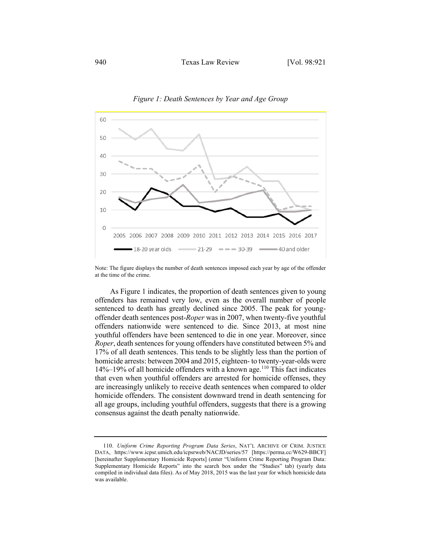

*Figure 1: Death Sentences by Year and Age Group*

Note: The figure displays the number of death sentences imposed each year by age of the offender at the time of the crime.

As Figure 1 indicates, the proportion of death sentences given to young offenders has remained very low, even as the overall number of people sentenced to death has greatly declined since 2005. The peak for youngoffender death sentences post-*Roper* was in 2007, when twenty-five youthful offenders nationwide were sentenced to die. Since 2013, at most nine youthful offenders have been sentenced to die in one year. Moreover, since *Roper*, death sentences for young offenders have constituted between 5% and 17% of all death sentences. This tends to be slightly less than the portion of homicide arrests: between 2004 and 2015, eighteen- to twenty-year-olds were  $14\%$ –19% of all homicide offenders with a known age.<sup>110</sup> This fact indicates that even when youthful offenders are arrested for homicide offenses, they are increasingly unlikely to receive death sentences when compared to older homicide offenders. The consistent downward trend in death sentencing for all age groups, including youthful offenders, suggests that there is a growing consensus against the death penalty nationwide.

<sup>110.</sup> *Uniform Crime Reporting Program Data Series*, NAT'L ARCHIVE OF CRIM. JUSTICE DATA, https://www.icpsr.umich.edu/icpsrweb/NACJD/series/57 [https://perma.cc/W629-BBCF] [hereinafter Supplementary Homicide Reports] (enter "Uniform Crime Reporting Program Data: Supplementary Homicide Reports" into the search box under the "Studies" tab) (yearly data compiled in individual data files). As of May 2018, 2015 was the last year for which homicide data was available.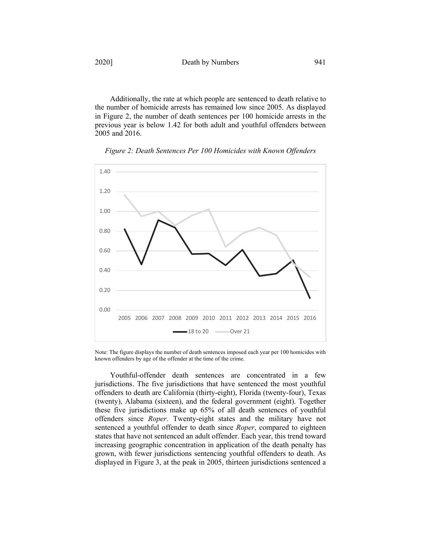Additionally, the rate at which people are sentenced to death relative to the number of homicide arrests has remained low since 2005. As displayed in Figure 2, the number of death sentences per 100 homicide arrests in the previous year is below 1.42 for both adult and youthful offenders between 2005 and 2016.





Note: The figure displays the number of death sentences imposed each year per 100 homicides with known offenders by age of the offender at the time of the crime.

Youthful-offender death sentences are concentrated in a few jurisdictions. The five jurisdictions that have sentenced the most youthful offenders to death are California (thirty-eight), Florida (twenty-four), Texas (twenty), Alabama (sixteen), and the federal government (eight). Together these five jurisdictions make up 65% of all death sentences of youthful offenders since *Roper*. Twenty-eight states and the military have not sentenced a youthful offender to death since *Roper*, compared to eighteen states that have not sentenced an adult offender. Each year, this trend toward increasing geographic concentration in application of the death penalty has grown, with fewer jurisdictions sentencing youthful offenders to death. As displayed in Figure 3, at the peak in 2005, thirteen jurisdictions sentenced a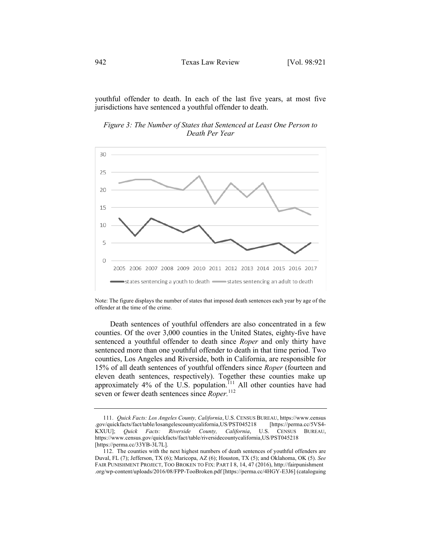youthful offender to death. In each of the last five years, at most five jurisdictions have sentenced a youthful offender to death.

*Figure 3: The Number of States that Sentenced at Least One Person to Death Per Year*



Note: The figure displays the number of states that imposed death sentences each year by age of the offender at the time of the crime.

Death sentences of youthful offenders are also concentrated in a few counties. Of the over 3,000 counties in the United States, eighty-five have sentenced a youthful offender to death since *Roper* and only thirty have sentenced more than one youthful offender to death in that time period. Two counties, Los Angeles and Riverside, both in California, are responsible for 15% of all death sentences of youthful offenders since *Roper* (fourteen and eleven death sentences, respectively). Together these counties make up approximately 4% of the U.S. population.<sup>111</sup> All other counties have had seven or fewer death sentences since *Roper.*<sup>112</sup>

<sup>111.</sup> *Quick Facts: Los Angeles County, California*, U.S. CENSUS BUREAU, https://www.census .gov/quickfacts/fact/table/losangelescountycalifornia,US/PST045218 KXUU]; *Quick Facts: Riverside County, California*, U.S. CENSUS BUREAU, https://www.census.gov/quickfacts/fact/table/riversidecountycalifornia,US/PST045218 [https://perma.cc/33YB-3L7L].

<sup>112.</sup> The counties with the next highest numbers of death sentences of youthful offenders are Duval, FL (7); Jefferson, TX (6); Maricopa, AZ (6); Houston, TX (5); and Oklahoma, OK (5). *See* FAIR PUNISHMENT PROJECT, TOO BROKEN TO FIX: PART I 8, 14, 47 (2016), http://fairpunishment .org/wp-content/uploads/2016/08/FPP-TooBroken.pdf [https://perma.cc/4HGY-E3J6] (cataloguing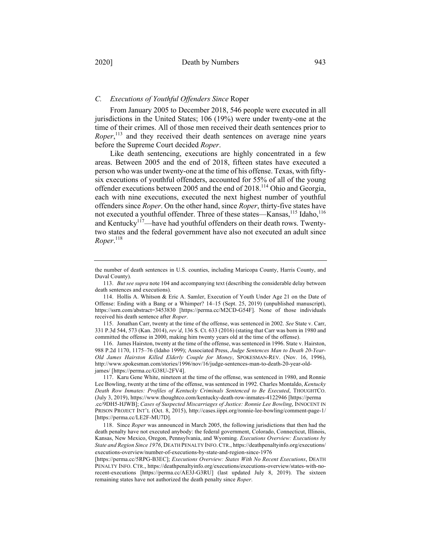From January 2005 to December 2018, 546 people were executed in all jurisdictions in the United States; 106 (19%) were under twenty-one at the time of their crimes. All of those men received their death sentences prior to *Roper*,<sup>113</sup> and they received their death sentences on average nine years before the Supreme Court decided *Roper*.

Like death sentencing, executions are highly concentrated in a few areas. Between 2005 and the end of 2018, fifteen states have executed a person who was under twenty-one at the time of his offense. Texas, with fiftysix executions of youthful offenders, accounted for 55% of all of the young offender executions between 2005 and the end of 2018.<sup>114</sup> Ohio and Georgia, each with nine executions, executed the next highest number of youthful offenders since *Roper*. On the other hand, since *Roper*, thirty-five states have not executed a youthful offender. Three of these states—Kansas,  $^{115}$  Idaho,  $^{116}$ and Kentucky<sup>117</sup>—have had youthful offenders on their death rows. Twentytwo states and the federal government have also not executed an adult since *Roper*. 118

115. Jonathan Carr, twenty at the time of the offense, was sentenced in 2002. *See* State v. Carr, 331 P.3d 544, 573 (Kan. 2014), *rev'd*, 136 S. Ct. 633 (2016) (stating that Carr was born in 1980 and committed the offense in 2000, making him twenty years old at the time of the offense).

116. James Hairston, twenty at the time of the offense, was sentenced in 1996. State v. Hairston, 988 P.2d 1170, 1175–76 (Idaho 1999); Associated Press, *Judge Sentences Man to Death 20-Year-Old James Hairston Killed Elderly Couple for Money*, SPOKESMAN-REV. (Nov. 16, 1996), http://www.spokesman.com/stories/1996/nov/16/judge-sentences-man-to-death-20-year-oldjames/ [https://perma.cc/G38U-2FV4].

117. Karu Gene White, nineteen at the time of the offense, was sentenced in 1980, and Ronnie Lee Bowling, twenty at the time of the offense, was sentenced in 1992. Charles Montaldo, *Kentucky Death Row Inmates: Profiles of Kentucky Criminals Sentenced to Be Executed*, THOUGHTCO. (July 3, 2019), https://www.thoughtco.com/kentucky-death-row-inmates-4122946 [https://perma .cc/9DH5-HJWB]; *Cases of Suspected Miscarriages of Justice: Ronnie Lee Bowling*, INNOCENT IN PRISON PROJECT INT'L (Oct. 8, 2015), http://cases.iippi.org/ronnie-lee-bowling/comment-page-1/ [https://perma.cc/LE2F-MU7D].

118. Since *Roper* was announced in March 2005, the following jurisdictions that then had the death penalty have not executed anybody: the federal government, Colorado, Connecticut, Illinois, Kansas, New Mexico, Oregon, Pennsylvania, and Wyoming. *Executions Overview: Executions by State and Region Since 1976*, DEATH PENALTY INFO.CTR., https://deathpenaltyinfo.org/executions/ executions-overview/number-of-executions-by-state-and-region-since-1976

[https://perma.cc/5RPG-B3EC]; *Executions Overview: States With No Recent Executions*, DEATH PENALTY INFO. CTR., https://deathpenaltyinfo.org/executions/executions-overview/states-with-norecent-executions [https://perma.cc/AE3J-G3RU] (last updated July 8, 2019). The sixteen remaining states have not authorized the death penalty since *Roper*.

the number of death sentences in U.S. counties, including Maricopa County, Harris County, and Duval County).

<sup>113.</sup> *But see supra* note 104 and accompanying text (describing the considerable delay between death sentences and executions).

<sup>114.</sup> Hollis A. Whitson & Eric A. Samler, Execution of Youth Under Age 21 on the Date of Offense: Ending with a Bang or a Whimper? 14–15 (Sept. 25, 2019) (unpublished manuscript), https://ssrn.com/abstract=3453830 [https://perma.cc/M2CD-G54F]. None of those individuals received his death sentence after *Roper*.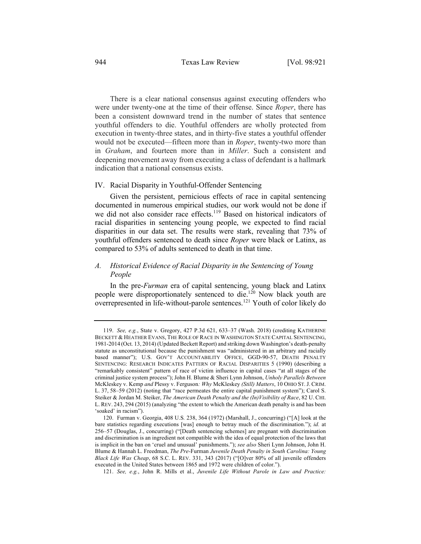There is a clear national consensus against executing offenders who were under twenty-one at the time of their offense. Since *Roper*, there has been a consistent downward trend in the number of states that sentence youthful offenders to die. Youthful offenders are wholly protected from execution in twenty-three states, and in thirty-five states a youthful offender would not be executed—fifteen more than in *Roper*, twenty-two more than in *Graham*, and fourteen more than in *Miller*. Such a consistent and deepening movement away from executing a class of defendant is a hallmark indication that a national consensus exists.

# IV. Racial Disparity in Youthful-Offender Sentencing

Given the persistent, pernicious effects of race in capital sentencing documented in numerous empirical studies, our work would not be done if we did not also consider race effects.<sup>119</sup> Based on historical indicators of racial disparities in sentencing young people, we expected to find racial disparities in our data set. The results were stark, revealing that 73% of youthful offenders sentenced to death since *Roper* were black or Latinx, as compared to 53% of adults sentenced to death in that time.

# *A. Historical Evidence of Racial Disparity in the Sentencing of Young People*

In the pre-*Furman* era of capital sentencing, young black and Latinx people were disproportionately sentenced to die.120 Now black youth are  $\overline{\text{overrepresented}}$  in life-without-parole sentences.<sup>121</sup> Youth of color likely do

<sup>119.</sup> *See, e.g.*, State v. Gregory, 427 P.3d 621, 633–37 (Wash. 2018) (crediting KATHERINE BECKETT & HEATHER EVANS, THE ROLE OF RACE IN WASHINGTON STATE CAPITAL SENTENCING, 1981-2014 (Oct. 13, 2014) (Updated Beckett Report) and striking down Washington's death-penalty statute as unconstitutional because the punishment was "administered in an arbitrary and racially based manner"); U.S. GOV'T ACCOUNTABILITY OFFICE, GGD-90-57, DEATH PENALTY SENTENCING: RESEARCH INDICATES PATTERN OF RACIAL DISPARITIES 5 (1990) (describing a "remarkably consistent" pattern of race of victim influence in capital cases "at all stages of the criminal justice system process"); John H. Blume & Sheri Lynn Johnson, *Unholy Parallels Between*  McKleskey v. Kemp *and* Plessy v. Ferguson*: Why* McKleskey *(Still) Matters*, 10 OHIO ST.J. CRIM. L. 37, 58–59 (2012) (noting that "race permeates the entire capital punishment system"); Carol S. Steiker & Jordan M. Steiker, *The American Death Penalty and the (In)Visibility of Race*, 82 U. CHI. L. REV. 243, 294 (2015) (analyzing "the extent to which the American death penalty is and has been 'soaked' in racism").

<sup>120.</sup> Furman v. Georgia, 408 U.S*.* 238, 364 (1972) (Marshall, J., concurring) ("[A] look at the bare statistics regarding executions [was] enough to betray much of the discrimination."); *id.* at 256–57 (Douglas, J., concurring) ("[Death sentencing schemes] are pregnant with discrimination and discrimination is an ingredient not compatible with the idea of equal protection of the laws that is implicit in the ban on 'cruel and unusual' punishments."); *see also* Sheri Lynn Johnson, John H. Blume & Hannah L. Freedman, *The Pre-*Furman *Juvenile Death Penalty in South Carolina: Young Black Life Was Cheap*, 68 S.C. L. REV. 331, 343 (2017) ("[O]ver 80% of all juvenile offenders executed in the United States between 1865 and 1972 were children of color.").

<sup>121.</sup> *See, e.g.*, John R. Mills et al., *Juvenile Life Without Parole in Law and Practice:*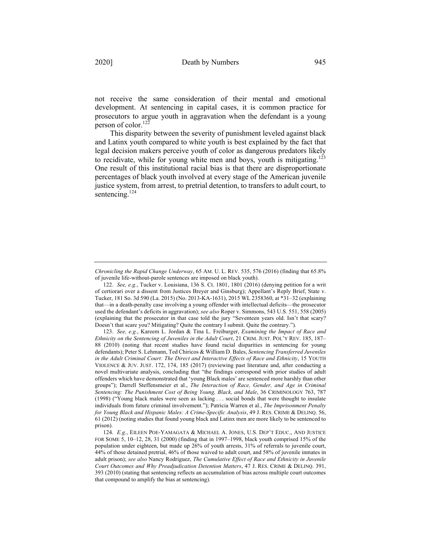not receive the same consideration of their mental and emotional development. At sentencing in capital cases, it is common practice for prosecutors to argue youth in aggravation when the defendant is a young person of color. $122$ 

This disparity between the severity of punishment leveled against black and Latinx youth compared to white youth is best explained by the fact that legal decision makers perceive youth of color as dangerous predators likely to recidivate, while for young white men and boys, youth is mitigating.<sup>123</sup> One result of this institutional racial bias is that there are disproportionate percentages of black youth involved at every stage of the American juvenile justice system, from arrest, to pretrial detention, to transfers to adult court, to sentencing.<sup>124</sup>

*Chronicling the Rapid Change Underway*, 65 AM. U. L. REV. 535, 576 (2016) (finding that 65.8% of juvenile life-without-parole sentences are imposed on black youth).

<sup>122.</sup> *See, e.g.*, Tucker v. Louisiana, 136 S. Ct. 1801, 1801 (2016) (denying petition for a writ of certiorari over a dissent from Justices Breyer and Ginsburg); Appellant's Reply Brief, State v. Tucker, 181 So. 3d 590 (La. 2015) (No. 2013-KA-1631), 2015 WL 2358360, at \*31–32 (explaining that—in a death-penalty case involving a young offender with intellectual deficits—the prosecutor used the defendant's deficits in aggravation); *see also* Roper v. Simmons, 543 U.S. 551, 558 (2005) (explaining that the prosecutor in that case told the jury "Seventeen years old. Isn't that scary? Doesn't that scare you? Mitigating? Quite the contrary I submit. Quite the contrary.").

<sup>123.</sup> *See, e.g.*, Kareem L. Jordan & Tina L. Freiburger, *Examining the Impact of Race and Ethnicity on the Sentencing of Juveniles in the Adult Court*, 21 CRIM. JUST. POL'Y REV. 185, 187– 88 (2010) (noting that recent studies have found racial disparities in sentencing for young defendants); Peter S. Lehmann, Ted Chiricos & William D. Bales, *Sentencing Transferred Juveniles in the Adult Criminal Court: The Direct and Interactive Effects of Race and Ethnicity*, 15 YOUTH VIOLENCE & JUV. JUST. 172, 174, 185 (2017) (reviewing past literature and, after conducting a novel multivariate analysis, concluding that "the findings correspond with prior studies of adult offenders which have demonstrated that 'young Black males' are sentenced more harshly than other groups"); Darrell Steffensmeier et al., *The Interaction of Race, Gender, and Age in Criminal Sentencing: The Punishment Cost of Being Young, Black, and Male*, 36 CRIMINOLOGY 763, 787 (1998) ("Young black males were seen as lacking . . . social bonds that were thought to insulate individuals from future criminal involvement."); Patricia Warren et al., *The Imprisonment Penalty for Young Black and Hispanic Males: A Crime-Specific Analysis*, 49 J. RES. CRIME & DELINQ. 56, 61 (2012) (noting studies that found young black and Latinx men are more likely to be sentenced to prison).

<sup>124.</sup> *E.g.*, EILEEN POE-YAMAGATA & MICHAEL A. JONES, U.S. DEP'T EDUC., AND JUSTICE FOR SOME 5, 10–12, 28, 31 (2000) (finding that in 1997–1998, black youth comprised 15% of the population under eighteen, but made up 26% of youth arrests, 31% of referrals to juvenile court, 44% of those detained pretrial, 46% of those waived to adult court, and 58% of juvenile inmates in adult prison); *see also* Nancy Rodriguez, *The Cumulative Effect of Race and Ethnicity in Juvenile Court Outcomes and Why Preadjudication Detention Matters*, 47 J. RES. CRIME & DELINQ. 391, 393 (2010) (stating that sentencing reflects an accumulation of bias across multiple court outcomes that compound to amplify the bias at sentencing).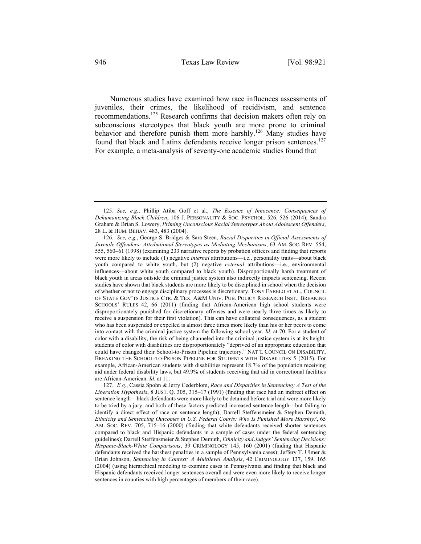Numerous studies have examined how race influences assessments of juveniles, their crimes, the likelihood of recidivism, and sentence recommendations.<sup>125</sup> Research confirms that decision makers often rely on subconscious stereotypes that black youth are more prone to criminal behavior and therefore punish them more harshly.<sup>126</sup> Many studies have found that black and Latinx defendants receive longer prison sentences.<sup>127</sup> For example, a meta-analysis of seventy-one academic studies found that

<sup>125.</sup> *See, e.g.*, Phillip Atiba Goff et al., *The Essence of Innocence: Consequences of Dehumanizing Black Children*, 106 J. PERSONALITY & SOC. PSYCHOL. 526, 526 (2014); Sandra Graham & Brian S. Lowery, *Priming Unconscious Racial Stereotypes About Adolescent Offenders*, 28 L. & HUM. BEHAV. 483, 483 (2004).

<sup>126.</sup> *See, e.g.*, George S. Bridges & Sara Steen, *Racial Disparities in Official Assessments of Juvenile Offenders: Attributional Stereotypes as Mediating Mechanisms*, 63 AM. SOC. REV. 554, 555, 560–61 (1998) (examining 233 narrative reports by probation officers and finding that reports were more likely to include (1) negative *internal* attributions—i.e., personality traits—about black youth compared to white youth, but (2) negative *external* attributions—i.e., environmental influences—about white youth compared to black youth). Disproportionally harsh treatment of black youth in areas outside the criminal justice system also indirectly impacts sentencing. Recent studies have shown that black students are more likely to be disciplined in school when the decision of whether or not to engage disciplinary processes is discretionary. TONY FABELO ET AL., COUNCIL OF STATE GOV'TS JUSTICE CTR. & TEX. A&M UNIV. PUB. POLICY RESEARCH INST., BREAKING SCHOOLS' RULES 42, 66 (2011) (finding that African-American high school students were disproportionately punished for discretionary offenses and were nearly three times as likely to receive a suspension for their first violation). This can have collateral consequences, as a student who has been suspended or expelled is almost three times more likely than his or her peers to come into contact with the criminal justice system the following school year. *Id.* at 70. For a student of color with a disability, the risk of being channeled into the criminal justice system is at its height: students of color with disabilities are disproportionately "deprived of an appropriate education that could have changed their School-to-Prison Pipeline trajectory." NAT'L COUNCIL ON DISABILITY, BREAKING THE SCHOOL-TO-PRISON PIPELINE FOR STUDENTS WITH DISABILITIES 5 (2015). For example, African-American students with disabilities represent 18.7% of the population receiving aid under federal disability laws, but 49.9% of students receiving that aid in correctional facilities are African-American. *Id.* at 11.

<sup>127.</sup> *E.g.*, Cassia Spohn & Jerry Cederblom, *Race and Disparities in Sentencing: A Test of the Liberation Hypothesis*, 8 JUST. Q. 305, 315–17 (1991) (finding that race had an indirect effect on sentence length—black defendants were more likely to be detained before trial and were more likely to be tried by a jury, and both of these factors predicted increased sentence length—but failing to identify a direct effect of race on sentence length); Darrell Steffensmeier & Stephen Demuth, *Ethnicity and Sentencing Outcomes in U.S. Federal Courts: Who Is Punished More Harshly?*, 65 AM. SOC. REV. 705, 715–16 (2000) (finding that white defendants received shorter sentences compared to black and Hispanic defendants in a sample of cases under the federal sentencing guidelines); Darrell Steffensmeier & Stephen Demuth, *Ethnicity and Judges' Sentencing Decisions: Hispanic-Black-White Comparisons*, 39 CRIMINOLOGY 145, 160 (2001) (finding that Hispanic defendants received the harshest penalties in a sample of Pennsylvania cases); Jeffery T. Ulmer & Brian Johnson, *Sentencing in Context: A Multilevel Analysis*, 42 CRIMINOLOGY 137, 159, 165 (2004) (using hierarchical modeling to examine cases in Pennsylvania and finding that black and Hispanic defendants received longer sentences overall and were even more likely to receive longer sentences in counties with high percentages of members of their race).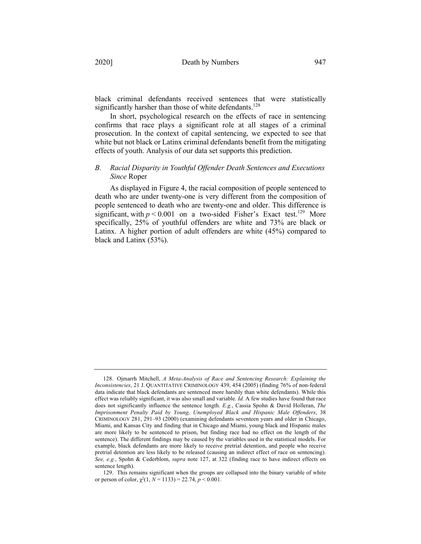black criminal defendants received sentences that were statistically significantly harsher than those of white defendants.<sup>128</sup>

In short, psychological research on the effects of race in sentencing confirms that race plays a significant role at all stages of a criminal prosecution. In the context of capital sentencing, we expected to see that white but not black or Latinx criminal defendants benefit from the mitigating effects of youth. Analysis of our data set supports this prediction.

# *B. Racial Disparity in Youthful Offender Death Sentences and Executions Since* Roper

As displayed in Figure 4, the racial composition of people sentenced to death who are under twenty-one is very different from the composition of people sentenced to death who are twenty-one and older. This difference is significant, with  $p < 0.001$  on a two-sided Fisher's Exact test.<sup>129</sup> More specifically, 25% of youthful offenders are white and 73% are black or Latinx. A higher portion of adult offenders are white (45%) compared to black and Latinx (53%).

<sup>128.</sup> Ojmarrh Mitchell, *A Meta-Analysis of Race and Sentencing Research: Explaining the Inconsistencies*, 21 J. QUANTITATIVE CRIMINOLOGY 439, 454 (2005) (finding 76% of non-federal data indicate that black defendants are sentenced more harshly than white defendants). While this effect was reliably significant, it was also small and variable. *Id.* A few studies have found that race does not significantly influence the sentence length. *E.g.*, Cassia Spohn & David Holleran, *The Imprisonment Penalty Paid by Young, Unemployed Black and Hispanic Male Offenders*, 38 CRIMINOLOGY 281, 291–93 (2000) (examining defendants seventeen years and older in Chicago, Miami, and Kansas City and finding that in Chicago and Miami, young black and Hispanic males are more likely to be sentenced to prison, but finding race had no effect on the length of the sentence). The different findings may be caused by the variables used in the statistical models. For example, black defendants are more likely to receive pretrial detention, and people who receive pretrial detention are less likely to be released (causing an indirect effect of race on sentencing). *See, e.g.*, Spohn & Cederblom, *supra* note 127, at 322 (finding race to have indirect effects on sentence length).

<sup>129.</sup> This remains significant when the groups are collapsed into the binary variable of white or person of color,  $\chi^2(1, N = 1133) = 22.74, p < 0.001$ .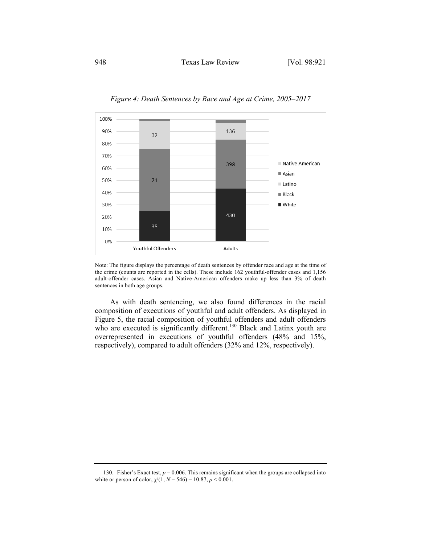

*Figure 4: Death Sentences by Race and Age at Crime, 2005–2017*

As with death sentencing, we also found differences in the racial composition of executions of youthful and adult offenders. As displayed in Figure 5, the racial composition of youthful offenders and adult offenders who are executed is significantly different.<sup>130</sup> Black and Latinx youth are overrepresented in executions of youthful offenders (48% and 15%, respectively), compared to adult offenders (32% and 12%, respectively).

Note: The figure displays the percentage of death sentences by offender race and age at the time of the crime (counts are reported in the cells). These include 162 youthful-offender cases and 1,156 adult-offender cases. Asian and Native-American offenders make up less than 3% of death sentences in both age groups.

<sup>130.</sup> Fisher's Exact test,  $p = 0.006$ . This remains significant when the groups are collapsed into white or person of color,  $\chi^2(1, N = 546) = 10.87, p < 0.001$ .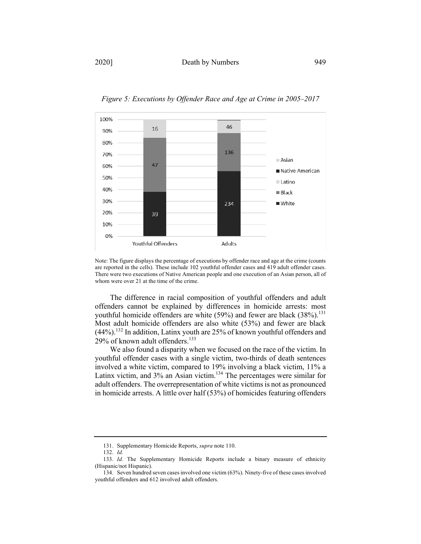

*Figure 5: Executions by Offender Race and Age at Crime in 2005–2017*

The difference in racial composition of youthful offenders and adult offenders cannot be explained by differences in homicide arrests: most youthful homicide offenders are white  $(59\%)$  and fewer are black  $(38\%).$ <sup>131</sup> Most adult homicide offenders are also white (53%) and fewer are black  $(44%)$ .<sup>132</sup> In addition, Latinx youth are 25% of known youthful offenders and 29% of known adult offenders.<sup>133</sup>

We also found a disparity when we focused on the race of the victim. In youthful offender cases with a single victim, two-thirds of death sentences involved a white victim, compared to 19% involving a black victim, 11% a Latinx victim, and 3% an Asian victim.<sup>134</sup> The percentages were similar for adult offenders. The overrepresentation of white victims is not as pronounced in homicide arrests. A little over half (53%) of homicides featuring offenders

Note: The figure displays the percentage of executions by offender race and age at the crime (counts are reported in the cells). These include 102 youthful offender cases and 419 adult offender cases. There were two executions of Native American people and one execution of an Asian person, all of whom were over 21 at the time of the crime.

<sup>131.</sup> Supplementary Homicide Reports, *supra* note 110.

<sup>132.</sup> *Id.*

<sup>133.</sup> *Id.* The Supplementary Homicide Reports include a binary measure of ethnicity (Hispanic/not Hispanic).

<sup>134.</sup> Seven hundred seven cases involved one victim (63%). Ninety-five of these cases involved youthful offenders and 612 involved adult offenders.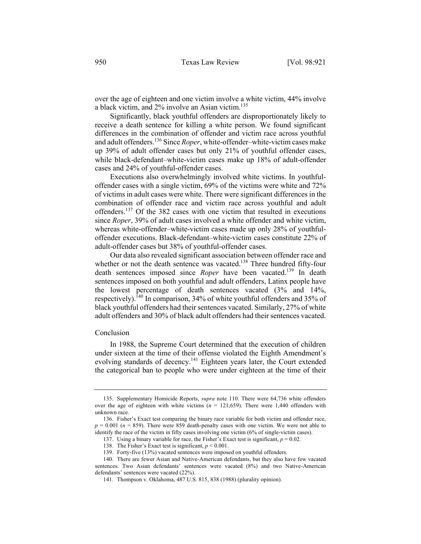over the age of eighteen and one victim involve a white victim, 44% involve a black victim, and 2% involve an Asian victim. 135

Significantly, black youthful offenders are disproportionately likely to receive a death sentence for killing a white person. We found significant differences in the combination of offender and victim race across youthful and adult offenders.136 Since *Roper*, white-offender–white-victim cases make up 39% of adult offender cases but only 21% of youthful offender cases, while black-defendant–white-victim cases make up 18% of adult-offender cases and 24% of youthful-offender cases.

Executions also overwhelmingly involved white victims. In youthfuloffender cases with a single victim, 69% of the victims were white and 72% of victims in adult cases were white. There were significant differences in the combination of offender race and victim race across youthful and adult offenders.<sup>137</sup> Of the 382 cases with one victim that resulted in executions since *Roper*, 39% of adult cases involved a white offender and white victim, whereas white-offender–white-victim cases made up only 28% of youthfuloffender executions. Black-defendant–white-victim cases constitute 22% of adult-offender cases but 38% of youthful-offender cases.

Our data also revealed significant association between offender race and whether or not the death sentence was vacated.<sup>138</sup> Three hundred fifty-four death sentences imposed since *Roper* have been vacated.<sup>139</sup> In death sentences imposed on both youthful and adult offenders, Latinx people have the lowest percentage of death sentences vacated (3% and 14%, respectively).140 In comparison, 34% of white youthful offenders and 35% of black youthful offenders had their sentences vacated. Similarly, 27% of white adult offenders and 30% of black adult offenders had their sentences vacated.

#### Conclusion

In 1988, the Supreme Court determined that the execution of children under sixteen at the time of their offense violated the Eighth Amendment's evolving standards of decency.<sup>141</sup> Eighteen years later, the Court extended the categorical ban to people who were under eighteen at the time of their

<sup>135.</sup> Supplementary Homicide Reports, *supra* note 110. There were 64,736 white offenders over the age of eighteen with white victims  $(n = 121,659)$ . There were 1,440 offenders with unknown race.

<sup>136.</sup> Fisher's Exact test comparing the binary race variable for both victim and offender race,  $p = 0.001$  ( $n = 859$ ). There were 859 death-penalty cases with one victim. We were not able to identify the race of the victim in fifty cases involving one victim (6% of single-victim cases).

<sup>137.</sup> Using a binary variable for race, the Fisher's Exact test is significant,  $p = 0.02$ .

<sup>138.</sup> The Fisher's Exact test is significant, *p* < 0.001.

<sup>139.</sup> Forty-five (13%) vacated sentences were imposed on youthful offenders.

<sup>140.</sup> There are fewer Asian and Native-American defendants, but they also have few vacated sentences. Two Asian defendants' sentences were vacated (8%) and two Native-American defendants' sentences were vacated (22%).

<sup>141.</sup> Thompson v. Oklahoma, 487 U.S. 815, 838 (1988) (plurality opinion).